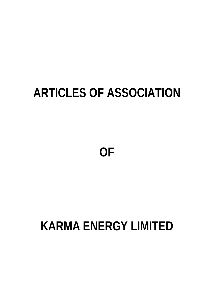# **ARTICLES OF ASSOCIATION**

**OF** 

# **KARMA ENERGY LIMITED**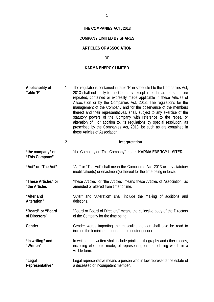# **THE COMPANIES ACT, 2013**

# **COMPANY LIMITED BY SHARES**

# **ARTICLES OF ASSOCIATION**

## **OF**

## **KARMA ENERGY LIMITED**

| Applicability of<br>Table 'F'        | $\mathbf{1}$   | The regulations contained in table 'F' in schedule I to the Companies Act,<br>2013 shall not apply to the Company except in so far as the same are<br>repeated, contained or expressly made applicable in these Articles of<br>Association or by the Companies Act, 2013. The regulations for the<br>management of the Company and for the observance of the members<br>thereof and their representatives, shall, subject to any exercise of the<br>statutory powers of the Company with reference to the repeal or<br>alteration of , or addition to, its regulations by special resolution, as<br>prescribed by the Companies Act, 2013, be such as are contained in<br>these Articles of Association. |
|--------------------------------------|----------------|----------------------------------------------------------------------------------------------------------------------------------------------------------------------------------------------------------------------------------------------------------------------------------------------------------------------------------------------------------------------------------------------------------------------------------------------------------------------------------------------------------------------------------------------------------------------------------------------------------------------------------------------------------------------------------------------------------|
|                                      | $\overline{2}$ | Interpretation                                                                                                                                                                                                                                                                                                                                                                                                                                                                                                                                                                                                                                                                                           |
| "the company" or<br>"This Company"   |                | "the Company or "This Company" means KARMA ENERGY LIMITED.                                                                                                                                                                                                                                                                                                                                                                                                                                                                                                                                                                                                                                               |
| "Act" or "The Act"                   |                | "Act" or "The Act" shall mean the Companies Act, 2013 or any statutory<br>modification(s) or enactment(s) thereof for the time being in force.                                                                                                                                                                                                                                                                                                                                                                                                                                                                                                                                                           |
| "These Articles" or<br>"the Articles |                | "these Articles" or "the Articles" means these Articles of Association as<br>amended or altered from time to time.                                                                                                                                                                                                                                                                                                                                                                                                                                                                                                                                                                                       |
| "Alter and<br>Alteration"            |                | "Alter" and "Alteration" shall include the making of additions and<br>deletions.                                                                                                                                                                                                                                                                                                                                                                                                                                                                                                                                                                                                                         |
| "Board" or "Board<br>of Directors"   |                | "Board or Board of Directors" means the collective body of the Directors<br>of the Company for the time being.                                                                                                                                                                                                                                                                                                                                                                                                                                                                                                                                                                                           |
| Gender                               |                | Gender words importing the masculine gender shall also be read to<br>include the feminine gender and the neuter gender.                                                                                                                                                                                                                                                                                                                                                                                                                                                                                                                                                                                  |
| "In writing" and<br>"Written"        |                | In writing and written shall include printing, lithography and other modes,<br>including electronic mode, of representing or reproducing words in a<br>visible form.                                                                                                                                                                                                                                                                                                                                                                                                                                                                                                                                     |
| "Legal<br>Representative"            |                | Legal representative means a person who in law represents the estate of<br>a deceased or incompetent member.                                                                                                                                                                                                                                                                                                                                                                                                                                                                                                                                                                                             |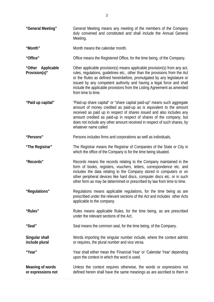- **"General Meeting"** General Meeting means any meeting of the members of the Company duly convened and constituted and shall include the Annual General Meeting.
- **"Month"** Month means the calendar month.

**"Office"** Office means the Registered Office, for the time being, of the Company.

- **"Other Applicable Provision(s)"**  Other applicable provision(s) means applicable provision(s) from any act, rules, regulations, guidelines etc., other than the provisions from the Act or the Rules as defined hereinbefore, promulgated by any legislature or issued by any competent authority and having a legal force and shall include the applicable provisions from the Listing Agreement as amended from time to time.
- **"Paid up capital"** "Paid-up share capital" or "share capital paid-up" means such aggregate amount of money credited as paid-up as is equivalent to the amount received as paid up in respect of shares issued and also includes any amount credited as paid-up in respect of shares of the company, but does not include any other amount received in respect of such shares, by whatever name called
- **"Persons"** Persons includes firms and corporations as well as individuals,
- **"The Registrar"** The Registrar means the Registrar of Companies of the State or City in which the office of the Company is for the time being situated.
- **"Records"** Records means the records relating to the Company maintained in the form of books, registers, vouchers, letters, correspondence etc. and includes the data relating to the Company stored in computers or on other peripheral devices like hard discs, computer discs etc. or in such other form as may be determined or prescribed by law from time to time.
- **"Regulations"** Regulations means applicable regulations, for the time being as are prescribed under the relevant sections of the Act and includes other Acts applicable to the company.
- **"Rules"** Rules means applicable Rules, for the time being, as are prescribed under the relevant sections of the Act.
- **"Seal''** Seal means the common seal, for the time being, of the Company.

**Singular shall include plural**  Words importing the singular number include, where the context admits or requires, the plural number and vice versa.

**"Year"** Year shall either mean the 'Financial Year' or 'Calendar Year' depending upon the context in which the word is used.

**Meaning of words or expressions not**  Unless the context requires otherwise, the words or expressions not defined herein shall have the same meanings as are ascribed to them in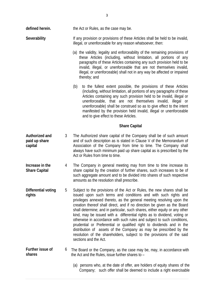- (a) the validity, legality and enforceability of the remaining provisions of these Articles (including, without limitation, all portions of any paragraphs of these Articles containing any such provision held to be invalid, illegal, or unenforceable that are not themselves invalid, illegal, or unenforceable) shall not in any way be affected or impaired thereby; and
- (b) to the fullest extent possible, the provisions of these Articles (including, without limitation, all portions of any paragraphs of these Articles containing any such provision held to be invalid, illegal or unenforceable, that are not themselves invalid, illegal or unenforceable) shall be construed so as to give effect to the intent manifested by the provision held invalid, illegal or unenforceable and to give effect to these Articles.

#### **Share Capital**

- **Authorized and paid up share capital**  3 The Authorized share capital of the Company shall be of such amount and of such description as is stated in Clause V of the Memorandum of Association of the Company from time to time. The Company shall always have such minimum paid up share capital as is prescribed by the Act or Rules from time to time.
- **Increase in the Share Capital**  4 The Company in general meeting may from time to time increase its share capital by the creation of further shares, such increases to be of such aggregate amount and to be divided into shares of such respective amounts as the resolution shall prescribe.
- **Differential voting rights**  5 Subject to the provisions of the Act or Rules, the new shares shall be issued upon such terms and conditions and with such rights and privileges annexed thereto, as the general meeting resolving upon the creation thereof shall direct, and if no direction be given as the Board shall determine; and in particular, such shares, either equity or any other kind, may be issued with a differential rights as to dividend, voting or otherwise in accordance with such rules and subject to such conditions, prudential or Preferential or qualified right to dividends and in the distribution of assets of the Company as may be prescribed by the resolution of the shareholders, subject to the provisions of the said sections and the Act.
- **Further issue of shares**  6 The Board or the Company, as the case may be, may, in accordance with the Act and the Rules, issue further shares to –
	- (a) persons who, at the date of offer, are holders of equity shares of the Company; such offer shall be deemed to include a right exercisable

illegal, or unenforceable for any reason whatsoever, then: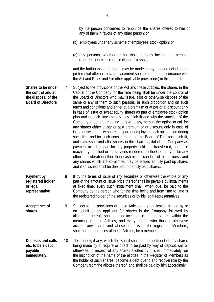by the person concerned to renounce the shares offered to him or any of them in favour of any other person; or

- (b) employees under any scheme of employees' stock option; or
- (c) any persons, whether or not those persons include the persons referred to in clause (a) or clause (b) above,

and the further issue of shares may be made in any manner including the preferential offer or private placement subject to and in accordance with the Act and Rules and / or other applicable provision(s) in this regard.

- **Shares to be under the control and at the disposal of the Board of Directors**  7 Subject to the provisions of the Act and these Articles, the shares in the Capital of the Company for the time being shall be under the control of the Board of Directors who may issue, allot or otherwise dispose of the same or any of them to such persons, in such proportion and on such terms and conditions and either at a premium or at par or at discount only in case of issue of sweat equity shares as part of employee stock option plan and at such time as they may think fit and with the sanction of the Company in general meeting to give to any person the option to call for any shares either at par or at a premium or at discount only in case of issue of sweat equity shares as part of employee stock option plan during such time and for such consideration as the Board of Directors think fit. and may issue and allot shares in the share capital of the Company as payment in full or part for any property sold and transferred, goods or machinery supplied or for services rendered to the Company or for any other consideration other than cash in the conduct of its business and any shares which are so allotted may be issued as fully paid up shares and if so issued shall be deemed to be fully paid shares.
- **Payment by registered holder or legal representative**  8 If by the terms of issue of any securities or otherwise the whole or any part of the amount or issue price thereof shall be payable by installments at fixed time, every such installment shall, when due, be paid to the Company by the person who for the time being and from time to time is the registered holder of the securities or by his legal representatives.
- **Acceptance of shares**  9 Subject to the provisions of these Articles, any application signed by or on behalf of an applicant for shares in the Company followed by allotment thereof, shall be an acceptance of the shares within the meaning of these Articles, and every person who thus or otherwise accepts any shares and whose name is on the register of Members, shall, for the purposes of these Articles, be a member.
- **Deposits and calls etc. to be a debt payable immediately.**  10 The money, if any, which the Board shall on the allotment of any shares being made by it, require or direct to be paid by way of deposit, call or otherwise, in respect of any shares allotted by it, shall immediately, on the inscription of the name of the allottee in the Register of Members as the holder of such shares, become a debt due to and recoverable by the Company from the allottee thereof, and shall be paid by him accordingly.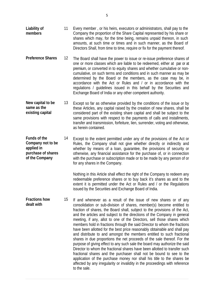- **Liability of members**  11 Every member , or his heirs, executors or administrators, shall pay to the Company the proportion of the Share Capital represented by his share or shares which may, for the time being, remains unpaid thereon, in such amounts, at such time or times and in such manner, as the Board of Directors Shall, from time to time, require or fix for the payment thereof.
- **Preference Shares** 12 The Board shall have the power to issue or re-issue preference shares of one or more classes which are liable to be redeemed, either at par or at premium, or converted in to equity shares and whether cumulative or noncumulative, on such terms and conditions and in such manner as may be determined by the Board or the members, as the case may be, in accordance with the Act or Rules and / or in accordance with the regulations / guidelines issued in this behalf by the Securities and Exchange Board of India or any other competent authority.
- **New capital to be same as the existing capital**  13 Except so far as otherwise provided by the conditions of the issue or by these Articles, any capital raised by the creation of new shares, shall be considered part of the existing share capital and shall be subject to the same provisions with respect to the payments of calls and installments, transfer and transmission, forfeiture, lien, surrender, voting and otherwise, as herein contained.
- **Funds of the Company not to be applied in purchase of shares of the Company**  14 Except to the extent permitted under any of the provisions of the Act or Rules, the Company shall not give whether directly or indirectly and whether by means of a loan, guarantee, the provisions of security or otherwise, any financial assistance for the purchase of, or in connection with the purchase or subscription made or to be made by any person of or for any shares in the Company.

Nothing in this Article shall effect the right of the Company to redeem any redeemable preference shares or to buy back it's shares as and to the extent it is permitted under the Act or Rules and / or the Regulations issued by the Securities and Exchange Board of India.

**Fractions how dealt with**  15 If and whenever as a result of the issue of new shares or of any consolidation or sub-division of shares, member(s) become entitled to fraction of shares, the Board shall, subject to the provisions of the Act, and the articles and subject to the directions of the Company in general meeting, if any, allot to one of the Directors, sell those shares which members hold in fractions through the said Director to whom the fractions have been allotted for the best price reasonably obtainable and shall pay and distribute to and amongst the members entitled to such fractional shares in due proportions the net proceeds of the sale thereof. For the purpose of giving effect to any such sale the board may authorize the said Director to whom the fractional shares have been allotted to transfer such fractional shares and the purchaser shall not be bound to see to the application of the purchase money nor shall his title to the shares be affected by any irregularity or invalidity in the proceedings with reference to the sale.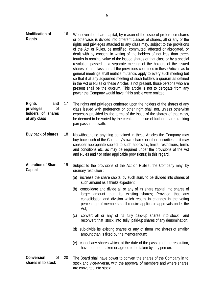| <b>Modification of</b><br><b>Rights</b>                                                  | 16 | Whenever the share capital, by reason of the issue of preference shares<br>or otherwise, is divided into different classes of shares, all or any of the<br>rights and privileges attached to any class may, subject to the provisions<br>of the Act or Rules, be modified, commuted, affected or abrogated, or<br>dealt with by consent in writing of the holders of not less than three-<br>fourths in nominal value of the issued shares of that class or by a special<br>resolution passed at a separate meeting of the holders of the issued<br>shares of that class and all the provisions contained in these Articles as to<br>general meetings shall mutatis mutandis apply to every such meeting but<br>so that if at any adjourned meeting of such holders a quorum as defined<br>in the Act or Rules or these Articles is not present, those persons who are<br>present shall be the quorum. This article is not to derogate from any<br>power the Company would have if this article were omitted. |
|------------------------------------------------------------------------------------------|----|---------------------------------------------------------------------------------------------------------------------------------------------------------------------------------------------------------------------------------------------------------------------------------------------------------------------------------------------------------------------------------------------------------------------------------------------------------------------------------------------------------------------------------------------------------------------------------------------------------------------------------------------------------------------------------------------------------------------------------------------------------------------------------------------------------------------------------------------------------------------------------------------------------------------------------------------------------------------------------------------------------------|
| <b>Rights</b><br>and<br>privileges<br><sub>of</sub><br>holders of shares<br>of any class | 17 | The rights and privileges conferred upon the holders of the shares of any<br>class issued with preference or other right shall not, unless otherwise<br>expressly provided by the terms of the issue of the shares of that class,<br>be deemed to be varied by the creation or issue of further shares ranking<br>pari-passu therewith.                                                                                                                                                                                                                                                                                                                                                                                                                                                                                                                                                                                                                                                                       |
| Buy back of shares                                                                       | 18 | Notwithstanding anything contained in these Articles the Company may<br>buy back such of the Company's own shares or other securities as it may<br>consider appropriate subject to such approvals, limits, restrictions, terms<br>and conditions etc. as may be required under the provisions of the Act<br>and Rules and / or other applicable provision(s) in this regard.                                                                                                                                                                                                                                                                                                                                                                                                                                                                                                                                                                                                                                  |
| <b>Alteration of Share</b><br>Capital                                                    | 19 | Subject to the provisions of the Act or Rules, the Company may, by<br>ordinary resolution :                                                                                                                                                                                                                                                                                                                                                                                                                                                                                                                                                                                                                                                                                                                                                                                                                                                                                                                   |
|                                                                                          |    | (a) increase the share capital by such sum, to be divided into shares of<br>such amount as it thinks expedient;                                                                                                                                                                                                                                                                                                                                                                                                                                                                                                                                                                                                                                                                                                                                                                                                                                                                                               |
|                                                                                          |    | (b) consolidate and divide all or any of its share capital into shares of<br>larger amount than its existing shares; Provided that any<br>consolidation and division which results in changes in the voting<br>percentage of members shall require applicable approvals under the<br>Act;                                                                                                                                                                                                                                                                                                                                                                                                                                                                                                                                                                                                                                                                                                                     |
|                                                                                          |    | convert all or any of its fully paid-up shares into stock, and<br>(c)<br>reconvert that stock into fully paid-up shares of any denomination;                                                                                                                                                                                                                                                                                                                                                                                                                                                                                                                                                                                                                                                                                                                                                                                                                                                                  |
|                                                                                          |    | (d) sub-divide its existing shares or any of them into shares of smaller<br>amount than is fixed by the memorandum;                                                                                                                                                                                                                                                                                                                                                                                                                                                                                                                                                                                                                                                                                                                                                                                                                                                                                           |
|                                                                                          |    | (e) cancel any shares which, at the date of the passing of the resolution,<br>have not been taken or agreed to be taken by any person.                                                                                                                                                                                                                                                                                                                                                                                                                                                                                                                                                                                                                                                                                                                                                                                                                                                                        |
| Conversion<br>Οf<br>shares in to stock                                                   | 20 | The Board shall have power to convert the shares of the Company in to<br>stock and vice-a-versa, with the approval of members and where shares<br>are converted into stock:                                                                                                                                                                                                                                                                                                                                                                                                                                                                                                                                                                                                                                                                                                                                                                                                                                   |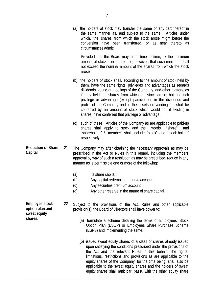(a) the holders of stock may transfer the same or any part thereof in the same manner as, and subject to the same Articles under which, the shares from which the stock arose might before the conversion have been transferred, or as near thereto as circumstances admit:

Provided that the Board may, from time to time, fix the minimum amount of stock transferable, so, however, that such minimum shall not exceed the nominal amount of the shares from which the stock arose;

- (b) the holders of stock shall, according to the amount of stock held by them, have the same rights, privileges and advantages as regards dividends, voting at meetings of the Company, and other matters, as if they held the shares from which the stock arose; but no such privilege or advantage (except participation in the dividends and profits of the Company and in the assets on winding up) shall be conferred by an amount of stock which would not, if existing in shares, have conferred that privilege or advantage;
- (c) such of these Articles of the Company as are applicable to paid-up shares shall apply to stock and the words "share" and "shareholder" / "member" shall include "stock" and "stock-holder" respectively.
- **Reduction of Share Capital**  21 The Company may after obtaining the necessary approvals as may be prescribed in the Act or Rules in this regard, including the members approval by way of such a resolution as may be prescribed, reduce in any manner as is permissible one or more of the following:
	- (a) Its share capital ;
	- (b) Any capital redemption reserve account;
	- (c) Any securities premium account;
	- (d) Any other reserve in the nature of share capital

22 Subject to the provisions of the Act, Rules and other applicable provision(s), the Board of Directors shall have power to:

- (a) formulate a scheme detailing the terms of Employees' Stock Option Plan (ESOP) or Employees Share Purchase Scheme (ESPS) and implementing the same.
- (b) issued sweat equity shares of a class of shares already issued upon satisfying the conditions prescribed under the provisions of the Act and the relevant Rules in this behalf. The rights, limitations, restrictions and provisions as are applicable to the equity shares of the Company, for the time being, shall also be applicable to the sweat equity shares and the holders of sweat equity shares shall rank pari passu with the other equity share

**Employee stock option plan and sweat equity shares.**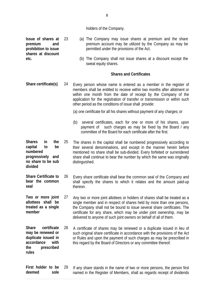holders of the Company.

**Issue of shares at premium and prohibition to issue shares at discount etc.** 

**rules** 

- 23 (a) The Company may issue shares at premium and the share premium account may be utilized by the Company as may be permitted under the provisions of the Act.
	- (b) The Company shall not issue shares at a discount except the sweat equity shares.

## **Shares and Certificates**

**Share certificate(s)** 24 Every person whose name is entered as a member in the register of members shall be entitled to receive within two months after allotment or within one month from the date of receipt by the Company of the application for the registration of transfer or transmission or within such other period as the conditions of issue shall provide:

(a) one certificate for all his shares without payment of any charges; or

(b) several certificates, each for one or more of his shares, upon payment of such charges as may be fixed by the Board / any committee of the Board for each certificate after the first.

**Shares in the capital to be numbered progressively and no share to be sub divided**  25 The shares in the capital shall be numbered progressively according to their several denominations, and except in the manner herein before mentioned no share shall be sub-divided. Every forfeited or surrendered share shall continue to bear the number by which the same was originally distinguished.

- **Share Certificate to bear the common seal**  26 Every share certificate shall bear the common seal of the Company and shall specify the shares to which it relates and the amount paid-up thereon.
- **Two or more joint allottees shall be treated as a single member**  27 Any two or more joint allottees or holders of shares shall be treated as a single member and in respect of shares held by more than one persons, the Company shall not be bound to issue several share certificates. The certificate for any share, which may be under joint ownership, may be delivered to anyone of such joint owners on behalf of all of them.

**Share certificate may be renewed or duplicate issued in accordance with the prescribed**  28 A certificate of shares may be renewed or a duplicate issued in lieu of such original share certificate in accordance with the provisions of the Act or Rules and upon the payment of such charges as may be prescribed in this regard by the Board of Directors or any committee thereof.

**First holder to be deemed sole**  29 If any share stands in the name of two or more persons, the person first named in the Register of Members, shall as regards receipt of dividends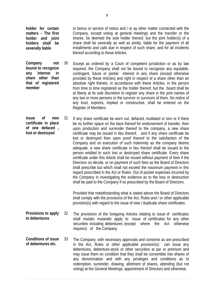**holder for certain matters – The first holder and joint holders shall be severally liable** 

or bonus or service of notice and / or ay other matter connected with the Company, except voting at general meetings and the transfer or the shares, be deemed the sole holder thereof, but the joint holder(s) of a share shall be severally as well as jointly, liable for the payment of all installments and calls due in respect of such share, and for all incidents thereof according to these Articles.

- **Company not bound to recognize any interest in share other than that of registered member**  30 Except as ordered by a Court of competent jurisdiction or as by law required, the Company shall not be bound to recognize any equitable, contingent, future or partial interest in any share (except otherwise provided by these Articles) and right in respect of a share other than an absolute right thereto, in accordance with these Articles, in the person from time to time registered as the holder thereof, but the board shall be at liberty at its sole discretion to register any share in the joint names of any two or more persons or the survivor or survivors of them. No notice of any trust, express, implied or constructive, shall be entered on the Register of Members.
- **issue of new certificate in place of one defaced , lost or destroyed**  31 If any share certificate be worn out, defaced, mutilated or torn or if there be no further space on the back thereof for endorsement of transfer, then upon production and surrender thereof to the company, a new share certificate may be issued in lieu thereof, and if any share certificate be lost or destroyed then upon proof thereof to the satisfaction of the Company and on execution of such indemnity as the company deems adequate, a new share certificate in lieu thereof shall be issued to the person entitled to such lost or destroyed share certificate. Every share certificate under this Article shall be issued without payment of fees if the Directors so decide, or on payment of such fees as the Board of Directors shall prescribe but which shall not exceed the maximum payment in this regard prescribed in the Act or Rules. Out of pocket expenses incurred by the Company in investigating the evidence as to the loss or destruction shall be paid to the Company if so prescribed by the Board of Directors.

Provided that notwithstanding what is stated above the Board of Directors shall comply with the provisions of the Act, Rules and / or other applicable provision(s) with regard to the issue of new / duplicate share certificates.

- **Provisions to apply to debentures**  32 The provisions of the foregoing Articles relating to issue of certificates shall *mutatis mutandis* apply to issue of certificates for any other securities including debentures (except where the Act otherwise requires) of the Company.
- **Conditions of issue of debentures etc.**  33 The Company, with necessary approvals and consents as are prescribed in the Act, Rules or other applicable provision(s) can issue any debentures, debenture-stock or other securities at par or premium and may issue them on condition that they shall be convertible into shares of any denomination and with any privileges and conditions as to redemption, surrender, drawing, allotment of shares, attending (but not voting) at the General Meetings, appointment of Directors and otherwise.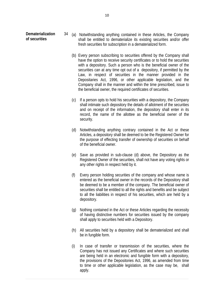- 34 (a) Notwithstanding anything contained in these Articles, the Company shall be entitled to dematerialize its existing securities and/or offer fresh securities for subscription in a dematerialized form.
	- (b) Every person subscribing to securities offered by the Company shall have the option to receive security certificates or to hold the securities with a depository. Such a person who is the beneficial owner of the securities can at any time opt out of a depository, if permitted by the Law, in respect of securities in the manner provided in the Depositaries Act, 1996, or other applicable legislation, and the Company shall in the manner and within the time prescribed, issue to the beneficial owner, the required certificates of securities.
	- (c) If a person opts to hold his securities with a depository, the Company shall intimate such depository the details of allotment of the securities and on receipt of the information, the depository shall enter in its record, the name of the allottee as the beneficial owner of the security.
	- (d) Notwithstanding anything contrary contained in the Act or these Articles, a depository shall be deemed to be the Registered Owner for the purpose of effecting transfer of ownership of securities on behalf of the beneficial owner.
	- (e) Save as provided in sub-clause (d) above, the Depository as the Registered Owner of the securities, shall not have any voting rights or any other rights in respect held by it.
	- (f) Every person holding securities of the company and whose name is entered as the beneficial owner in the records of the Depository shall be deemed to be a member of the company. The beneficial owner of securities shall be entitled to all the rights and benefits and be subject to all the liabilities in respect of his securities, which are held by a depository.
	- (g) Nothing contained in the Act or these Articles regarding the necessity of having distinctive numbers for securities issued by the company shall apply to securities held with a Depository.
	- (h) All securities held by a depository shall be dematerialized and shall be in fungible form.
	- (i) In case of transfer or transmission of the securities, where the Company has not issued any Certificates and where such securities are being held in an electronic and fungible form with a depository, the provisions of the Depositories Act, 1996, as amended from time to time or other applicable legislation, as the case may be, shall apply.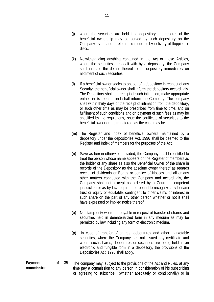- (k) Notwithstanding anything contained in the Act or these Articles, where the securities are dealt with by a depository, the Company shall intimate the details thereof to the depository immediately on allotment of such securities.
- (l) If a beneficial owner seeks to opt out of a depository in respect of any Security, the beneficial owner shall inform the depository accordingly. The Depository shall, on receipt of such intimation, make appropriate entries in its records and shall inform the Company. The company shall within thirty days of the receipt of intimation from the depository, or such other time as may be prescribed from time to time, and on fulfillment of such conditions and on payment of such fees as may be specified by the regulations, issue the certificate of securities to the beneficial owner or the transferee, as the case may be.
- (m) The Register and index of beneficial owners maintained by a depository under the depositories Act, 1996 shall be deemed to the Register and Index of members for the purposes of the Act.
- (n) Save as herein otherwise provided, the Company shall be entitled to treat the person whose name appears on the Register of members as the holder of any share as also the Beneficial Owner of the share in records of the Depository as the absolute owner thereof as regards receipt of dividends or Bonus or service of Notices and all or any other matters connected with the Company and accordingly, the Company shall not, except as ordered by a Court of competent jurisdiction or as by law required, be bound to recognize any benami trust or equity or equitable, contingent to other claims or interest in such share on the part of any other person whether or not it shall have expressed or implied notice thereof.
- (o) No stamp duty would be payable in respect of transfer of shares and securities held in dematerialized form in any medium as may be permitted by law including any form of electronic medium.
- (p) In case of transfer of shares, debentures and other marketable securities, where the Company has not issued any certificate and where such shares, debentures or securities are being held in an electronic and fungible form in a depository, the provisions of the Depositories Act, 1996 shall apply.
- **Payment of commission**  35 The company may, subject to the provisions of the Act and Rules, at any time pay a commission to any person in consideration of his subscribing or agreeing to subscribe (whether absolutely or conditionally) or in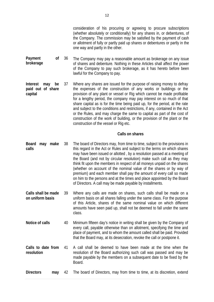12

consideration of his procuring or agreeing to procure subscriptions (whether absolutely or conditionally) for any shares in, or debentures, of the Company. The commission may be satisfied by the payment of cash or allotment of fully or partly paid up shares or debentures or partly in the one way and partly in the other.

- **Payment of brokerage**  36 The Company may pay a reasonable amount as brokerage on any issue of shares and debenture. Nothing in these Articles shall affect the power of the Company to pay such brokerage, as it has hereto before been lawful for the Company to pay.
- **Interest may be paid out of share capital**  37 Where any shares are issued for the purpose of raising money to defray the expenses of the construction of any works or buildings or the provision of any plant or vessel or Rig which cannot be made profitable for a lengthy period, the company may pay interest on so much of that share capital as is for the time being paid up, for the period, at the rate and subject to the conditions and restrictions, if any, contained in the Act or the Rules, and may charge the same to capital as part of the cost of construction of the work of building, or the provision of the plant or the construction of the vessel or Rig etc.

#### **Calls on shares**

- **Board may make calls**  38 The board of Directors may, from time to time, subject to the provisions in this regard in the Act or Rules and subject to the terms on which shares may have been issued or allotted , by a resolution passed at a meeting of the Board (and not by circular resolution) make such call as they may think fit upon the members in respect of all moneys unpaid on the shares (whether on account of the nominal value of the shares or by way of premium) and each member shall pay the amount of every call so made on him to the persons and at the times and place appointed by the Board of Directors. A call may be made payable by installments.
- **Calls shall be made on uniform basis**  39 Where any calls are made on shares, such calls shall be made on a uniform basis on all shares falling under the same class. For the purpose of this Article, shares of the same nominal value on which different amounts have seen paid up, shall not be deemed to fall under the same class.
- **Notice of calls** 40 Minimum fifteen day's notice in writing shall be given by the Company of every call, payable otherwise than on allotment, specifying the time and place of payment, and to whom the amount called shall be paid. Provided that the Board may, at its desecration, revoke the call or postpone it.
- **Calls to date from resolution**  41 A call shall be deemed to have been made at the time when the resolution of the Board authorizing such call was passed and may be made payable by the members on a subsequent date to be fixed by the Board.
- **Directors may** 42 The board of Directors, may from time to time, at its discretion, extend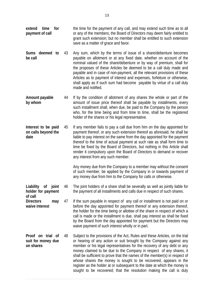- **extend time for payment of call**  the time for the payment of any call, and may extend such time as to all or any of the members, the Board of Directors may deem fairly entitled to grant such extension; but no member shall be entitled to such extension save as a matter of grace and favor.
- **Sums deemed to be call**  43 Any sum, which by the terms of issue of a share/debenture becomes payable on allotment or at any fixed date, whether on account of the nominal valued of the share/debenture or by way of premium, shall for the proposes of these Articles be deemed to be a call duly made and payable and in case of non-payment, all the relevant provisions of these Articles as to payment of interest and expenses, forfeiture or otherwise, shall apply as if such sum had become payable by virtue of a call duly made and notified.
- **Amount payable by whom**  44 If by the condition of allotment of any shares the whole or part of the amount of issue price thereof shall be payable by installments, every such installment shall, when due, be paid to the Company by the person who, for the time being and from time to time, shall be the registered holder of the shares or his legal representative.
- **Interest to be paid on calls beyond the date**  45 If any member fails to pay a call due from him on the day appointed for payment thereof, or any such extension thereof as aforesaid, he shall be liable to pay interest on the same from the day appointed for the payment thereof to the time of actual payment at such rate as shall form time to time be fixed by the Board of Directors, but nothing in this Article shall render it compulsory upon the Board of Directors to demand or recover any interest from any such member.

Any money due from the Company to a member may without the consent of such member, be applied by the Company in or towards payment of any money due from him to the Company for calls or otherwise.

- **Liability of joint holder for payment of call**  46 The joint holders of a share shall be severally as well as jointly liable for the payment of all installments and calls due in respect of such shares.
- **Directors may waive interest**  47 If the sum payable in respect of any call or installment is not paid on or before the day appointed for payment thereof or any extension thereof, the holder for the time being or allottee of the share in respect of which a call is made or the installment is due, shall pay interest as shall be fixed by the Board from the day appointed for payment but the Directors may waive payment of such interest wholly or in part.
- **Proof on trial of suit for money due on shares**  48 Subject to the provisions of the Act, Rules and these Articles, on the trial or hearing of any action or suit brought by the Company against any member or his legal representatives for the recovery of any debt or any money claimed to be due to the Company in respect of any shares, it shall be sufficient to prove that the names of the member(s) in respect of whose shares the money is sought to be recovered, appears in the register as the holder at or subsequent to the date at which the money is sought to be recovered; that the resolution making the call is duly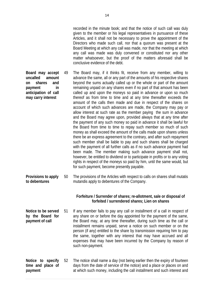recorded in the minute book; and that the notice of such call was duly given to the member or his legal representatives in pursuance of these Articles, and it shall not be necessary to prove the appointment of the Directors who made such call, nor that a quorum was present at the Board Meeting at which any call was made, nor that the meeting at which any call was made was duly convened or constituted nor any other matter whatsoever, but the proof of the matters aforesaid shall be conclusive evidence of the debt.

- **Board may accept uncalled amount on shares and payment in anticipation of call may carry interest**  49 The Board may, if it thinks fit, receive from any member, willing to advance the same, all or any part of the amounts of his respective shares beyond the sums actually called up or the whole or part of the amount remaining unpaid on any shares even if no part of that amount has been called up and upon the moneys so paid in advance or upon so much thereof as from time to time and at any time thereafter exceeds the amount of the calls then made and due in respect of the shares on account of which such advances are made, the Company may pay or allow interest at such rate as the member paying the sum in advance and the Board may agree upon, provided always that at any time after the payment of any such money so paid in advance it shall be lawful for the Board from time to time to repay such member so much of such money as shall exceed the amount of the calls made upon shares unless there be an express agreement to the contrary, and after such repayment such member shall be liable to pay and such shares shall be charged with the payment of all further calls as if no such advance payment had been made. The member making such advance payment shall not, however, be entitled to dividend or to participate in profits or to any voting rights in respect of the moneys so paid by him, until the same would, but for such payment, become presently payable.
- **Provisions to apply to debentures**  50 The provisions of the Articles with respect to calls on shares shall mutatis mutandis apply to debentures of the Company.

## **Forfeiture / Surrender of shares; re-allotment, sale or disposal of forfeited / surrendered shares; Lien on shares**

- **Notice to be served by the Board for payment of call**  51 If any member fails to pay any call or installment of a call in respect of any share on or before the day appointed for the payment of the same, the Board may, at any time thereafter, during such time as the call or installment remains unpaid, serve a notice on such member or on the person (if any) entitled to the share by transmission requiring him to pay the same, together with any interest that may have accrued and all expenses that may have been incurred by the Company by reason of such non-payment.
- **Notice to specify time and place of payment**  52 The notice shall name a day (not being earlier then the expiry of fourteen days from the date of service of the notice) and a place or places on and at which such money, including the call installment and such interest and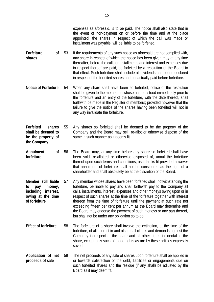- **Forfeiture of shares**  If the requirements of any such notice as aforesaid are not complied with, any share in respect of which the notice has been given may at any time thereafter, before the calls or installments and interest and expenses due in respect thereof are paid, be forfeited by a resolution of the Board to that effect. Such forfeiture shall include all dividends and bonus declared in respect of the forfeited shares and not actually paid before forfeiture.
- **Notice of Forfeiture** 54 When any share shall have been so forfeited, notice of the resolution shall be given to the member in whose name it stood immediately prior to the forfeiture and an entry of the forfeiture, with the date thereof, shall forthwith be made in the Register of members; provided however that the failure to give the notice of the shares having been forfeited will not in any way invalidate the forfeiture.
- **Forfeited shares shall be deemed to be the property of the Company**  55 Any shares so forfeited shall be deemed to be the property of the Company and the Board may sell, re-allot or otherwise dispose of the same in such manner as it deems fit.
- **Annulment of forfeiture**  56 The Board may, at any time before any share so forfeited shall have been sold, re-allotted or otherwise disposed of, annul the forfeiture thereof upon such terms and conditions, as it thinks fit provided however that annulment of forfeiture shall not be considered as the right of a shareholder and shall absolutely be at the discretion of the Board.
- **Member still liable to pay money, including interest, owing at the time of forfeiture**  57 Any member whose shares have been forfeited shall, notwithstanding the forfeiture, be liable to pay and shall forthwith pay to the Company all calls, installments, interest, expenses and other moneys owing upon or in respect of such shares at the time of the forfeiture together with interest thereon from the time of forfeiture until the payment at such rate not exceeding fifteen per cent per annum as the Board may determine and the Board may endorse the payment of such moneys or any part thereof, but shall not be under any obligation so to do.
- **Effect of forfeiture** 58 The forfeiture of a share shall involve the extinction, at the time of the forfeiture, of all interest in and also of all claims and demands against the Company in respect of the share and all other rights incidental to the share, except only such of those rights as are by these articles expressly saved.
- **Application of net proceeds of sale**  59 The net proceeds of any sale of shares upon forfeiture shall be applied in or towards satisfaction of the debt, liabilities or engagements due on such forfeited shares and the residue (if any shall) be adjusted by the Board as it may deem fit.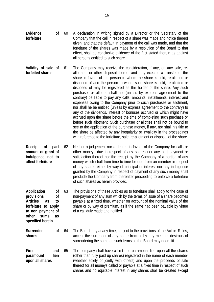- **Evidence of forfeiture**  60 A declaration in writing signed by a Director or the Secretary of the Company that the call in respect of a share was made and notice thereof given, and that the default in payment of the call was made, and that the forfeiture of the shares was made by a resolution of the Board to that effect, shall be conclusive evidence of the fact stated therein as against all persons entitled to such share.
- **Validity of sale of forfeited shares**  61 The Company may receive the consideration, if any, on any sale, reallotment or other disposal thereof and may execute a transfer of the share in favour of the person to whom the share is sold, re-allotted or disposed of and the person to whom such share is sold, re-allotted or disposed of may be registered as the holder of the share. Any such purchaser or allottee shall not (unless by express agreement to the contrary) be liable to pay any calls, amounts, installments, interest and expenses owing to the Company prior to such purchases or allotment, nor shall he be entitled (unless by express agreement to the contrary) to any of the dividends, interest or bonuses accrued or which might have accrued upon the share before the time of completing such purchase or before such allotment. Such purchaser or allottee shall not be bound to see to the application of the purchase money, if any, nor shall his title to the share be affected by any irregularity or invalidity in the proceedings with reference to the forfeiture, sale, re-allotment or disposal of the share.
- **Receipt of part amount or grant of indulgence not to affect forfeiture**  62 Neither a judgement nor a decree in favour of the Company for calls or other moneys due in respect of any shares nor any part payment or satisfaction thereof nor the receipt by the Company of a portion of any money which shall from time to time be due from an member in respect of any shares either by way of principal or interest nor any indulgence granted by the Company in respect of payment of any such money shall preclude the Company from thereafter proceeding to enforce a forfeiture of such shares as herein provided.
- **Application of provisions of Articles as to forfeiture to apply to non payment of other sums as**  63 The provisions of these Articles as to forfeiture shall apply to the case of non-payment of any sum which by the terms of issue of a share becomes payable at a fixed time, whether on account of the nominal value of the share or by way of premium, as if the same had been payable by virtue of a call duly made and notified.
- **Surrender of shares**  64 The Board may at any time, subject to the provisions of the Act or Rules, accept the surrender of any share from or by any member desirous of surrendering the same on such terms as the Board may deem fit.

**specified herein** 

**First and paramount lien upon all shares**  65 The company shall have a first and paramount lien upon all the shares (other than fully paid up shares) registered in the name of each member (whether solely or jointly with others) and upon the proceeds of sale thereof for all moneys called or payable at a fixed time in respect of such shares and no equitable interest in any shares shall be created except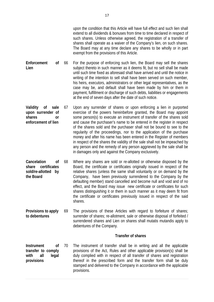upon the condition that this Article will have full effect and such lien shall extend to all dividends & bonuses from time to time declared in respect of such shares. Unless otherwise agreed, the registration of a transfer of shares shall operate as a waiver of the Company's lien, on such shares. The Board may at any time declare any shares to be wholly or in part exempt from the provisions of this Article.

- **Enforcement of Lien**  66 For the purpose of enforcing such lien, the Board may sell the shares subject thereto in such manner as it deems fit, but no sell shall be made until such time fixed as aforesaid shall have arrived and until the notice in writing of the intention to sell shall have been served on such member, his heirs, executors, administrators or other legal representatives, as the case may be, and default shall have been made by him or them in payment, fulfillment or discharge of such debts, liabilities or engagements at the end of seven days after the date of such notice.
- **Validity of sale upon surrender of shares or enforcement of lien**  67 Upon any surrender of shares or upon enforcing a lien in purported exercise of the powers hereinbefore granted, the Board may appoint some person(s) to execute an instrument of transfer of the shares sold and cause the purchaser's name to be entered in the register in respect of the shares sold and the purchaser shall not be bound to see to the regularity of the proceedings, nor to the application of the purchase money and after his name has been entered in the Register of members in respect of the shares the validity of the sale shall not be impeached by any person and the remedy of any person aggrieved by the sale shall be in damages only and against the Company exclusively.
- **Cancelation of share certificates sold/re-allotted by the Board**  68 Where any shares are sold or re-allotted or otherwise disposed by the Board, the certificate or certificates originally issued in respect of the relative shares (unless the same shall voluntarily or on demand by the Company, have been previously surrendered to the Company by the defaulting member) stand cancelled and become null and void and of no effect, and the Board may issue new certificate or certificates for such shares distinguishing it or them in such manner as it may deem fit from the certificate or certificates previously issued in respect of the said shares.
- **Provisions to apply to debentures**  69 The provisions of these Articles with regard to forfeiture of shares; surrender of shares; re-allotment, sale or otherwise disposal of forfeited / surrendered shares and Lien on shares shall mutatis mutandis apply to debentures of the Company.

#### **Transfer of shares**

**Instrument of transfer to comply with all legal provisions**  70 The instrument of transfer shall be in writing and all the applicable provisions of the Act, Rules and other applicable provision(s) shall be duly complied with in respect of all transfer of shares and registration thereof in the prescribed form and the transfer form shall be duly stamped and delivered to the Company in accordance with the applicable provisions.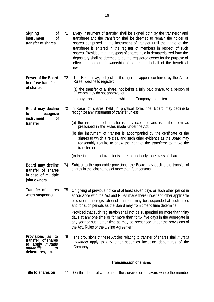| Signing<br>0f<br><sub>of</sub><br>instrument<br>transfer of shares                                      | 71 | Every instrument of transfer shall be signed both by the transferor and<br>transferee and the transferor shall be deemed to remain the holder of<br>shares comprised in the instrument of transfer until the name of the<br>transferee is entered in the register of members in respect of such<br>shares. Provided that in respect of shares held in dematerialized form the<br>depository shall be deemed to be the registered owner for the purpose of<br>effecting transfer of ownership of shares on behalf of the beneficial<br>owner.                                                     |
|---------------------------------------------------------------------------------------------------------|----|--------------------------------------------------------------------------------------------------------------------------------------------------------------------------------------------------------------------------------------------------------------------------------------------------------------------------------------------------------------------------------------------------------------------------------------------------------------------------------------------------------------------------------------------------------------------------------------------------|
| Power of the Board<br>to refuse transfer                                                                | 72 | The Board may, subject to the right of appeal conferred by the Act or<br>Rules, decline to register:                                                                                                                                                                                                                                                                                                                                                                                                                                                                                             |
| of shares                                                                                               |    | (a) the transfer of a share, not being a fully paid share, to a person of<br>whom they do not approve; or                                                                                                                                                                                                                                                                                                                                                                                                                                                                                        |
|                                                                                                         |    | (b) any transfer of shares on which the Company has a lien.                                                                                                                                                                                                                                                                                                                                                                                                                                                                                                                                      |
| Board may decline<br>recognize<br>to                                                                    | 73 | In case of shares held in physical form, the Board may decline to<br>recognize any instrument of transfer unless :                                                                                                                                                                                                                                                                                                                                                                                                                                                                               |
| instrument<br>οf<br>transfer                                                                            |    | (a) the instrument of transfer is duly executed and is in the form as<br>prescribed in the Rules made under the Act;                                                                                                                                                                                                                                                                                                                                                                                                                                                                             |
|                                                                                                         |    | (b) the instrument of transfer is accompanied by the certificate of the<br>shares to which it relates, and such other evidence as the Board may<br>reasonably require to show the right of the transferor to make the<br>transfer; or                                                                                                                                                                                                                                                                                                                                                            |
|                                                                                                         |    | (c) the instrument of transfer is in respect of only one class of shares.                                                                                                                                                                                                                                                                                                                                                                                                                                                                                                                        |
| Board may decline<br>transfer of shares<br>in case of multiple<br>joint owners.                         | 74 | Subject to the applicable provisions, the Board may decline the transfer of shares in the joint names of more than four persons.                                                                                                                                                                                                                                                                                                                                                                                                                                                                 |
| Transfer of shares<br>when suspended                                                                    |    | 75 On giving of previous notice of at least seven days or such other period in<br>accordance with the Act and Rules made there under and other applicable<br>provisions, the registration of transfers may be suspended at such times<br>and for such periods as the Board may from time to time determine.<br>Provided that such registration shall not be suspended for more than thirty<br>days at any one time or for more than forty- five days in the aggregate in<br>any year or such other time as may be prescribed under the provisions of<br>the Act, Rules or the Listing Agreement. |
| Provisions as to<br>transfer of shares<br>to apply <i>mutatis</i><br>mutandis<br>to<br>debentures, etc. | 76 | The provisions of these Articles relating to transfer of shares shall <i>mutatis</i><br><i>mutandis</i> apply to any other securities including debentures of the<br>Company.                                                                                                                                                                                                                                                                                                                                                                                                                    |
|                                                                                                         |    | <b>Transmission of shares</b>                                                                                                                                                                                                                                                                                                                                                                                                                                                                                                                                                                    |

**Title to shares on** 77 On the death of a member, the survivor or survivors where the member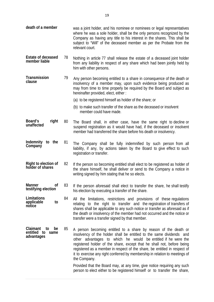| death of a member                                         |    | was a joint holder, and his nominee or nominees or legal representatives<br>where he was a sole holder, shall be the only persons recognized by the<br>Company as having any title to his interest in the shares. This shall be<br>subject to "Will" of the deceased member as per the Probate from the<br>relevant court.                                                                                                                                     |
|-----------------------------------------------------------|----|----------------------------------------------------------------------------------------------------------------------------------------------------------------------------------------------------------------------------------------------------------------------------------------------------------------------------------------------------------------------------------------------------------------------------------------------------------------|
| <b>Estate of deceased</b><br>member liable                | 78 | Nothing in article 77 shall release the estate of a deceased joint holder<br>from any liability in respect of any share which had been jointly held by<br>him with other persons.                                                                                                                                                                                                                                                                              |
| Transmission<br>clause                                    | 79 | Any person becoming entitled to a share in consequence of the death or<br>insolvency of a member may, upon such evidence being produced as<br>may from time to time properly be required by the Board and subject as<br>hereinafter provided, elect, either:                                                                                                                                                                                                   |
|                                                           |    | (a) to be registered himself as holder of the share; or                                                                                                                                                                                                                                                                                                                                                                                                        |
|                                                           |    | (b) to make such transfer of the share as the deceased or insolvent<br>member could have made.                                                                                                                                                                                                                                                                                                                                                                 |
| Board's<br>right<br>unaffected                            | 80 | The Board shall, in either case, have the same right to decline or<br>suspend registration as it would have had, if the deceased or insolvent<br>member had transferred the share before his death or insolvency.                                                                                                                                                                                                                                              |
| Indemnity to the<br>Company                               | 81 | The Company shall be fully indemnified by such person from all<br>liability, if any, by actions taken by the Board to give effect to such<br>registration or transfer.                                                                                                                                                                                                                                                                                         |
| Right to election of<br>holder of shares                  | 82 | If the person so becoming entitled shall elect to be registered as holder of<br>the share himself, he shall deliver or send to the Company a notice in<br>writing signed by him stating that he so elects.                                                                                                                                                                                                                                                     |
| <b>Manner</b><br>of<br>testifying election                | 83 | If the person aforesaid shall elect to transfer the share, he shall testify<br>his election by executing a transfer of the share.                                                                                                                                                                                                                                                                                                                              |
| Limitations<br>applicable<br>to<br>notice                 | 84 | All the limitations, restrictions and provisions of these regulations<br>relating to the right to transfer and the registration of transfers of<br>shares shall be applicable to any such notice or transfer as aforesaid as if<br>the death or insolvency of the member had not occurred and the notice or<br>transfer were a transfer signed by that member.                                                                                                 |
| Claimant<br>to<br>be<br>entitled to<br>same<br>advantages | 85 | A person becoming entitled to a share by reason of the death or<br>insolvency of the holder shall be entitled to the same dividends and<br>other advantages to which he would be entitled if he were the<br>registered holder of the share, except that he shall not, before being<br>registered as a member in respect of the share, be entitled in respect of<br>it to exercise any right conferred by membership in relation to meetings of<br>the Company. |
|                                                           |    | Provided that the Board may, at any time, give notice requiring any such<br>person to elect either to be registered himself or to transfer the share,                                                                                                                                                                                                                                                                                                          |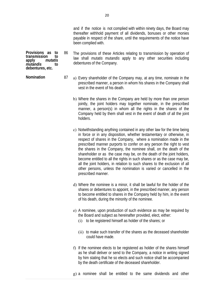and if the notice is not complied with within ninety days, the Board may thereafter withhold payment of all dividends, bonuses or other monies payable in respect of the share, until the requirements of the notice have been complied with.

- 86 The provisions of these Articles relating to transmission by operation of law shall *mutatis mutandis* apply to any other securities including debentures of the Company.
- **Nomination** 87 a) Every shareholder of the Company may, at any time, nominate in the prescribed manner, a person in whom his shares in the Company shall vest in the event of his death.
	- b) Where the shares in the Company are held by more than one person jointly, the joint holders may together nominate, in the prescribed manner, a person(s) in whom all the rights in the shares of the Company held by them shall vest in the event of death of all the joint holders.
	- c) Notwithstanding anything contained in any other law for the time being in force or in any disposition, whether testamentary or otherwise, in respect of shares in the Company, where a nomination made in the prescribed manner purports to confer on any person the right to vest the shares in the Company, the nominee shall, on the death of the shareholder or as the case may be, on the death of the joint holders, become entitled to all the rights in such shares or as the case may be, all the joint holders, in relation to such shares to the exclusion of all other persons, unless the nomination is varied or cancelled in the prescribed manner.
	- d) Where the nominee is a minor, it shall be lawful for the holder of the shares or debentures to appoint, in the prescribed manner, any person to become entitled to shares in the Company held by him, in the event of his death, during the minority of the nominee.
	- e) A nominee, upon production of such evidence as may be required by the Board and subject as hereinafter provided, elect, either:
		- (i) to be registered himself as holder of the shares; or
		- (ii) to make such transfer of the shares as the deceased shareholder could have made.
	- f) If the nominee elects to be registered as holder of the shares himself as he shall deliver or send to the Company, a notice in writing signed by him stating that he so elects and such notice shall be accompanied by the death certificate of the deceased shareholder.
	- g) a nominee shall be entitled to the same dividends and other

20

**Provisions as to**  transmission<br>apply *mu* 

*mutandis* **to debentures, etc.** 

**apply** *mutatis*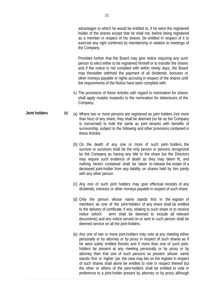advantages to which he would be entitled to, if he were the registered holder of the shares except that he shall not, before being registered as a member in respect of his shares, be entitled in respect of it to exercise any right conferred by membership in relation to meetings of the Company.

Provided further that the Board may give notice requiring any such person to elect either to be registered himself or to transfer the shares and if the notice is not complied with within ninety days, the Board may thereafter withhold the payment of all dividends, bonuses or other moneys payable or rights accruing in respect of the shares until the requirements of the Notice have been complied with.

- h) The provisions of these Articles with regard to nomination for shares shall apply mutatis mutandis to the nomination for debentures of the Company.
- **Joint holders** 88 (a) Where two or more persons are registered as joint holders (not more than four) of any share, they shall be deemed (so far as the Company is concerned) to hold the same as joint tenants with benefits of survivorship, subject to the following and other provisions contained in these Articles.
	- (b) On the death of any one or more of such joint- holders, the survivor or survivors shall be the only person or persons recognized by the Company as having any title to the share but the Directors may require such evidence of death as they may deem fit, and nothing herein contained shall be taken to release the estate of a deceased joint-holder from any liability on shares held by him jointly with any other person.
	- (c) Any one of such joint holders may give effectual receipts of any dividends, interests or other moneys payable in respect of such share.
	- (d) Only the person whose name stands first in the register of members as one of the joint-holders of any share shall be entitled to the delivery of certificate, if any, relating to such share or to receive notice (which term shall be deemed to include all relevant documents) and any notice served on or sent to such person shall be deemed service on all the joint-holders.
	- (e) Any one of two or more joint-holders may vote at any meeting either personally or by attorney or by proxy in respect of such shares as if he were solely entitled thereto and if more than one of such jointholders be present at any meeting personally or by proxy or by attorney then that one of such persons so present whose name stands first or higher (as the case may be) on the register in respect of such shares shall alone be entitled to vote in respect thereof but the other or others of the joint-holders shall be entitled to vote in preference to a joint-holder present by attorney or by proxy although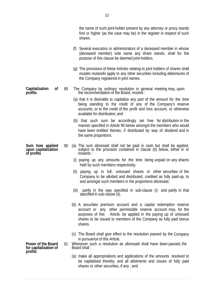the name of such joint-holder present by any attorney or proxy stands first or higher (as the case may be) in the register in respect of such shares.

- (f) Several executors or administrators of a deceased member in whose (deceased member) sole name any share stands, shall for the purpose of this clause be deemed joint-holders.
- (g) The provisions of these Articles relating to joint holders of shares shall *mutatis mutandis* apply to any other securities including debentures of the Company registered in joint names.
- **Capitalization of**  89 The Company by ordinary resolution in general meeting may, upon the recommendation of the Board, resolve :
	- (a) that it is desirable to capitalize any part of the amount for the time being standing to the credit of any of the Company's reserve accounts, or to the credit of the profit and loss account, or otherwise available for distribution; and
	- (b) that such sum be accordingly set free for distribution in the manner specified in Article 90 below amongst the members who would have been entitled thereto, if distributed by way of dividend and in the same proportions.
	- 90 (a) The sum aforesaid shall not be paid in cash but shall be applied,<br>subject to the provision contained in clause (b) below, either in or towards :
		- (i) paying up any amounts for the time being unpaid on any shares held by such members respectively;
		- (ii) paying up in full, unissued shares or other securities of the Company to be allotted and distributed, credited as fully paid-up, to and amongst such members in the proportions aforesaid;
		- (iii) partly in the way specified in sub-clause (i) and partly in that specified in sub-clause (ii).
		- (b) A securities premium account and a capital redemption reserve account or any other permissible reserve account may, for the purposes of this Article, be applied in the paying up of unissued shares to be issued to members of the Company as fully paid bonus shares.
		- (c) The Board shall give effect to the resolution passed by the Company in pursuance of this Article.
	- 91 Whenever such a resolution as aforesaid shall have been passed, the Board shall :
		- (a) make all appropriations and applications of the amounts resolved to be capitalised thereby, and all allotments and issues of fully paid shares or other securities, if any ; and

**Sum how applied upon capitalization of profits** 

**profits** 

**Power of the Board for capitalization of profits**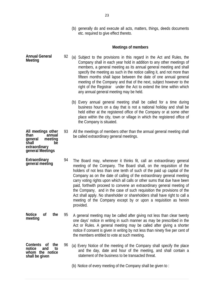(b) generally do and execute all acts, matters, things, deeds documents etc. required to give effect thereto.

#### **Meetings of members**

- **Annual General Meeting**  92 (a) Subject to the provisions in this regard in the Act and Rules, the Company shall in each year hold in addition to any other meetings of members, a general meeting as its annual general meeting and shall specify the meeting as such in the notice calling it, and not more than fifteen months shall lapse between the date of one annual general meeting of the Company and that of the next, subject however to the right of the Registrar under the Act to extend the time within which any annual general meeting may be held.
	- (b) Every annual general meeting shall be called for a time during business hours on a day that is not a national holiday and shall be held either at the registered office of the Company or at some other place within the city, town or village in which the registered office of the Company is situated.
- **All meetings other**  <sup>2</sup> annual<br>meeting **general meeting**  93 All the meetings of members other than the annual general meeting shall be called extraordinary general meetings.

**shall be** 

**extraordinary general Meetings** 

**Extraordinary general meeting**  94 The Board may, whenever it thinks fit, call an extraordinary general meeting of the Company. The Board shall, on the requisition of the holders of not less than one tenth of such of the paid up capital of the Company as on the date of calling of the extraordinary general meeting carry voting rights upon which all calls or other sums that due have been paid, forthwith proceed to convene an extraordinary general meeting of the Company, and in the case of such requisition the provisions of the Act shall apply. No shareholder or shareholders shall have right to call a meeting of the Company except by or upon a requisition as herein provided.

**Notice of the meeting**  95 A general meeting may be called after giving not less than clear twenty one days' notice in writing in such manner as may be prescribed in the Act or Rules. A general meeting may be called after giving a shorter notice if consent is given in writing by not less than ninety five per cent of the members entitled to vote at such meeting.

- **Contents of the notice whom the notice shall be given**  96 (a) Every Notice of the meeting of the Company shall specify the place and the day, date and hour of the meeting, and shall contain a statement of the business to be transacted threat.
	- (b) Notice of every meeting of the Company shall be given to :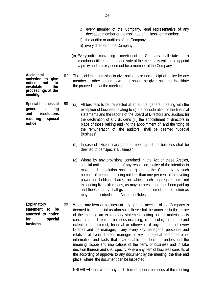- i) every member of the Company, legal representative of any deceased member or the assignee of an insolvent member;
- ii) the auditor or auditors of the Company; and
- iii) every director of the Company.
- (c) Every notice convening a meeting of the Company shall state that a member entitled to attend and vote at the meeting is entitled to appoint a proxy and a proxy need not be a member of the Company.
- 97 The accidental omission to give notice to or non-receipt of notice by any member or other person to whom it should be given shall not invalidate the proceedings at the meeting.
- 98 (a) All business to be transacted at an annual general meeting with the exception of business relating to (i) the consideration of the financial statements and the reports of the Board of Directors and auditors (ii) the declaration of any dividend (iii) the appointment of directors in place of those retiring and (iv) the appointment of, and the fixing of the remuneration of, the auditors, shall be deemed "Special Business".
	- (b) In case of extraordinary general meetings all the business shall be deemed to be "Special Business".
	- (c) Where by any provisions contained in the Act or these Articles, special notice is required of any resolution, notice of the intention to move such resolution shall be given to the Company by such number of members holding not less than one per cent of total voting power or holding shares on which such aggregate sum not exceeding five lakh rupees, as may be prescribed, has been paid up and the Company shall give its members notice of the resolution as may be prescribed in the Act or the Rules.
- **Explanatory statement to be annexed to notice for special business**  99 Where any item of business at any general meeting of the Company is deemed to be special as aforesaid, there shall be annexed to the notice of the meeting an explanatory statement setting out all material facts concerning such item of business including, in particular, the nature and extent of the interest, financial or otherwise, if any, therein, of every Director and the manager, if any, every key managerial personnel and relatives of every director, manager or key managerial personnel other information and facts that may enable members to understand the meaning, scope and implications of the items of business and to take decision thereon and shall specify, where any item of business consists of the according of approval to any document by the meeting, the time and place, where the document can be inspected.

PROVIDED that where any such item of special business at the meeting

**Accidental omission to give**  notice not to<br>invalidate the **invalidate proceedings at the meeting.** 

**Special business at general meeting and resolutions requiring special notice**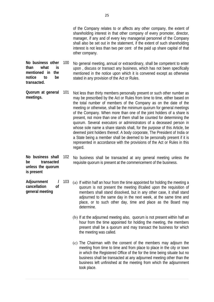of the Company relates to or affects any other company, the extent of shareholding interest in that other company of every promoter, director, manager, if any and of every key managerial personnel of the Company shall also be set out in the statement, if the extent of such shareholding interest is not less than two per cent of the paid up share capital of that other company.

**No business other than what is mentioned in the notice to be transacted.**  100 No general meeting, annual or extraordinary, shall be competent to enter upon , discuss or transact any business, which has not been specifically mentioned in the notice upon which it is convened except as otherwise stated in any provision of the Act or Rules.

**Quorum at general meetings.**  101 Not less than thirty members personally present or such other number as may be prescribed by the Act or Rules from time to time, either based on the total number of members of the Company as on the date of the meeting or otherwise, shall be the minimum quorum for general meetings of the Company. When more than one of the joint holders of a share is present, not more than one of them shall be counted for determining the quorum. Several executors or administrators of a deceased person in whose sole name a share stands shall, for the purpose of this Article, be deemed joint holders thereof. A body corporate, The President of India or a State being a member shall be deemed to be personally present if it is represented in accordance with the provisions of the Act or Rules in this regard.

**No business shall be transacted unless the quorum is present** 

**Adjournment / cancellation of general meeting** 

- 102 No business shall be transacted at any general meeting unless the requisite quorum is present at the commencement of the business.
- 103 (a) If within half an hour from the time appointed for holding the meeting a quorum is not present the meeting if/called upon the requisition of members shall stand dissolved, but in any other case, it shall stand adjourned to the same day in the next week, at the same time and place, or to such other day, time and place as the Board may determine.
	- (b) If at the adjourned meeting also, quorum is not present within half an hour from the time appointed for holding the meeting, the members present shall be a quorum and may transact the business for which the meeting was called.
	- (c) The Chairman with the consent of the members may adjourn the meeting from time to time and from place to place in the city or town in which the Registered Office of the for the time being situate but no business shall be transacted at any adjourned meeting other than the business left unfinished at the meeting from which the adjournment took place.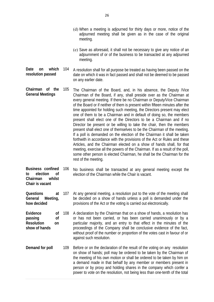- (d) When a meeting is adjourned for thirty days or more, notice of the adjourned meeting shall be given as in the case of the original meeting.
- (e) Save as aforesaid, it shall not be necessary to give any notice of an adjournment of or of the business to be transacted at any adjourned meeting.
- Date on which 104 **resolution passed**  A resolution shall for all purpose be treated as having been passed on the date on which it was in fact passed and shall not be deemed to be passed on any earlier date.
- **Chairman of the General Meetings**  105 The Chairman of the Board, and, in his absence, the Deputy /Vice Chairman of the Board, if any, shall preside over as the Chairman at every general meeting. If there be no Chairman or Deputy/Vice Chairman of the Board or if neither of them is present within fifteen minutes after the time appointed for holding such meeting, the Directors present may elect one of them to be a Chairman and in default of doing so, the members present shall elect one of the Directors to be a Chairman and if no Director be present or be willing to take the chair, then the members present shall elect one of themselves to be the Chairman of the meeting. If a poll is demanded on the election of the Chairman it shall be taken forthwith in accordance with the provisions of the Act or Rules and these Articles, and the Chairman elected on a show of hands shall, for that meeting, exercise all the powers of the Chairman. If as a result of the poll, some other person is elected Chairman, he shall be the Chairman for the rest of the meeting.
- **Business confined to election of Chairman whilst**  106 No business shall be transacted at any general meeting except the election of the Chairman while the Chair is vacant.

**Chair is vacant** 

- **Questions at General Meeting, how decided**  107 At any general meeting, a resolution put to the vote of the meeting shall be decided on a show of hands unless a poll is demanded under the provisions of the Act or the voting is carried out electronically.
- **Evidence of passing of Resolution on show of hands**  108 A declaration by the Chairman that on a show of hands, a resolution has or has not been carried, or has been carried unanimously or by a particular majority, and an entry to that effect in the minutes of the proceedings of the Company shall be conclusive evidence of the fact, without proof of the number or proportion of the votes cast in favour of or against such resolution.
- **Demand for poll** 109 Before or on the declaration of the result of the voting on any resolution on show of hands; poll may be ordered to be taken by the Chairman of the meeting of his own motion or shall be ordered to be taken by him on a demand made in that behalf by any member or members present in person or by proxy and holding shares in the company which confer a power to vote on the resolution, not being less than one-tenth of the total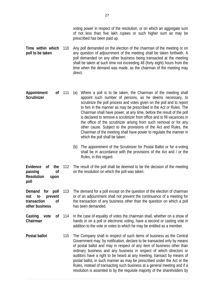- **Time within which poll to be taken**  Any poll demanded on the election of the chairman of the meeting or on any question of adjournment of the meeting shall be taken forthwith. A poll demanded on any other business being transacted at the meeting shall be taken at such time not exceeding 48 (forty eight) hours from the time when the demand was made, as the chairman of the meeting may direct.
- **Appointment of Scrutinizer**  (a) Where a poll is to be taken, the Chairman of the meeting shall appoint such number of persons, as he deems necessary, to scrutinize the poll process and votes given on the poll and to report to him in the manner as may be prescribed in the Act or Rules. The Chairman shall have power, at any time, before the result of the poll is declared to remove a scrutinizer from office and to fill vacancies in the office of the scrutinizer arising from such removal or for any other cause. Subject to the provisions of the Act and Rules, the Chairman of the meeting shall have power to regulate the manner in which the poll shall be taken.
	- (b) The appointment of the Scrutinizer for Postal Ballot or for e-voting shall be in accordance with the provisions of the Act and / or the Rules, in this regard.
- **Evidence of the passing of Resolution upon**  112 The result of the poll shall be deemed to be the decision of the meeting on the resolution on which the poll was taken.

**poll** 

- **Demand for poll not to prevent transaction of other business**  113 The demand for a poll except on the question of the election of chairman or of an adjournment shall not prevent the continuance of a meeting for the transaction of any business other than the question on which a poll has been demanded.
- Casting vote of 114 **Chairman**  In the case of equality of votes the chairman shall, whether on a show of hands or on a poll or electronic voting, have a second or casting vote in addition to the vote or votes to which he may be entitled as a member.
- **Postal ballot** 115 The Company shall in respect of such items of business as the Central Government may, by notification, declare to be transacted only by means of postal ballot and may in respect of any item of business other than ordinary business and any business in respect of which directors or auditors have a right to be heard at any meeting, transact by means of postal ballot, in such manner as may be prescribed under the Act or the Rules, instead of transacting such business at a general meeting and if a resolution is assented to by the requisite majority of the shareholders by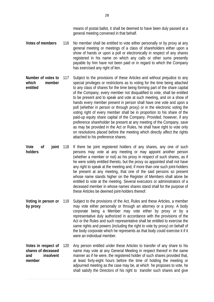means of postal ballot, it shall be deemed to have been duly passed at a general meeting convened in that behalf.

- **Votes of members** 116 No member shall be entitled to vote either personally or by proxy at any general meeting or meetings of a class of shareholders either upon a show of hands or upon a poll or electronically in respect of any shares registered in his name on which any calls or other sums presently payable by him have not been paid or in regard to which the Company has exercised any right of lien.
- **Number of votes to which member entitled**  Subject to the provisions of these Articles and without prejudice to any special privileges or restrictions as to voting for the time being attached to any class of shares for the time being forming part of the share capital of the Company, every member not disqualified to vote, shall be entitled to be present and to speak and vote at such meeting, and on a show of hands every member present in person shall have one vote and upon a poll (whether in person or through proxy) or in the electronic voting the voting right of every member shall be in proportion to his share of the paid-up equity share capital of the Company. Provided, however, if any preference shareholder be present at any meeting of the Company, save as may be provided in the Act or Rules, he shall have right to vote only on resolutions placed before the meeting which directly affect the rights attached to his preference shares.
- **Vote of joint holders**  If there be joint registered holders of any shares, any one of such persons may vote at any meeting or may appoint another person (whether a member or not) as his proxy in respect of such shares, as if he were solely entitled thereto, but the proxy so appointed shall not have any right to speak at the meeting and, if more than one such joint-holders be present at any meeting, that one of the said persons so present whose name stands higher on the Register of Members shall alone be entitled to vote at the meeting. Several executors or administrators of a deceased member in whose names shares stand shall for the purpose of these Articles be deemed joint-holders thereof.
- **Voting in person or by proxy**  119 Subject to the provisions of the Act, Rules and these Articles, a member may vote either personally or through an attorney or a proxy. A body corporate being a Member may vote either by proxy or by a representative duly authorized in accordance with the provisions of the Act or the Rules and such representative shall be entitled to exercise the same rights and powers (including the right to vote by proxy) on behalf of the body corporate which he represents as that body could exercise it if it were an individual member.
- **Votes in respect of shares of deceased and insolvent member**  Any person entitled under these Articles to transfer of any share to his name may vote at any General Meeting in respect thereof in the same manner as if he were, the registered holder of such shares provided that, at least forty-eight hours before the time of holding the meeting or adjourned meeting as the case may be, at which he proposes to vote, he shall satisfy the Directors of his right to transfer such shares and give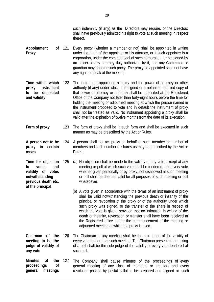such indemnity (if any) as the Directors may require, or the Directors shall have previously admitted his right to vote at such meeting in respect thereof.

- **Appointment of Proxy**  Every proxy (whether a member or not) shall be appointed in writing under the hand of the appointer or his attorney, or if such appointer is a corporation, under the common seal of such corporation, or be signed by an officer or any attorney duly authorized by it, and any Committee or guardian may appoint such proxy. The proxy so appointed shall not have any right to speak at the meeting.
- **Time within which proxy instrument to be deposited and validity**  122 The instrument appointing a proxy and the power of attorney or other authority (if any) under which it is signed or a notarized certified copy of that power of attorney or authority shall be deposited at the Registered Office of the Company not later than forty-eight hours before the time for holding the meeting or adjourned meeting at which the person named in the instrument proposed to vote and in default the instrument of proxy shall not be treated as valid. No instrument appointing a proxy shall be valid after the expiration of twelve months from the date of its execution.
- **Form of proxy** 123 The form of proxy shall be in such form and shall be executed in such manner as may be prescribed by the Act or Rules.
- **A person not to be proxy in certain cases**  124 A person shall not act proxy on behalf of such member or number of members and such number of shares as may be prescribed by the Act or Rules.
- **Time for objection to votes and validity of votes notwithstanding previous death etc. of the principal**  125 (a) No objection shall be made to the validity of any vote, except at any meeting or poll at which such vote shall be tendered, and every vote whether given personally or by proxy, not disallowed at such meeting or poll shall be deemed valid for all purposes of such meeting or poll whatsoever.
	- (b) A vote given in accordance with the terms of an instrument of proxy shall be valid notwithstanding the previous death or insanity of the principal or revocation of the proxy or of the authority under which such proxy was signed, or the transfer of the share in respect of which the vote is given, provided that no intimation in writing of the death or insanity, revocation or transfer shall have been received at the Registered office before the commencement of the meeting or adjourned meeting at which the proxy is used.
- **Chairman of the meeting to be the judge of validity of any vote**  The Chairman of any meeting shall be the sole judge of the validity of every vote tendered at such meeting. The Chairman present at the taking of a poll shall be the sole judge of the validity of every vote tendered at such poll.

**Minutes of the proceedings of general meetings**  127 The Company shall cause minutes of the proceedings of every general meeting of any class of members or creditors and every resolution passed by postal ballot to be prepared and signed in such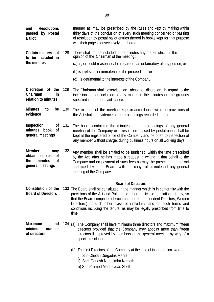| <b>Resolutions</b><br>and<br>passed by Postal<br><b>Ballot</b> |     | manner as may be prescribed by the Rules and kept by making within<br>thirty days of the conclusion of every such meeting concerned or passing<br>of resolution by postal ballot entries thereof in books kept for that purpose<br>with their pages consecutively numbered. |
|----------------------------------------------------------------|-----|-----------------------------------------------------------------------------------------------------------------------------------------------------------------------------------------------------------------------------------------------------------------------------|
| Certain matters not<br>to be included in<br>the minutes        | 128 | There shall not be included in the minutes any matter which, in the<br>opinion of the Chairman of the meeting:                                                                                                                                                              |
|                                                                |     | (a) is, or could reasonably be regarded, as defamatory of any person; or                                                                                                                                                                                                    |
|                                                                |     | (b) is irrelevant or immaterial to the proceedings; or                                                                                                                                                                                                                      |
|                                                                |     | (c) is detrimental to the interests of the Company.                                                                                                                                                                                                                         |

- **Discretion of the Chairman in relation to minutes**  129 The Chairman shall exercise an absolute discretion in regard to the inclusion or non-inclusion of any matter in the minutes on the grounds specified in the aforesaid clause.
- **Minutes to be evidence**  130 The minutes of the meeting kept in accordance with the provisions of the Act shall be evidence of the proceedings recorded therein.
- **Inspection of minutes book of general meetings**  131 The books containing the minutes of the proceedings of any general meeting of the Company or a resolution passed by postal ballot shall be kept at the registered office of the Company and be open to inspection of any member without charge, during business hours on all working days.
- **Members may obtain copies of the minutes of general meetings**  132 Any member shall be entitled to be furnished, within the time prescribed by the Act, after he has made a request in writing in that behalf to the Company and on payment of such fees as may be prescribed in the Act and fixed by the Board, with a copy of minutes of any general meeting of the Company.

## **Board of Directors**

- **Constitution of the Board of Directors**  133 The Board shall be constituted in the manner which is in conformity with the provisions of the Act and Rules, and other applicable regulations, if any, so that the Board comprises of such number of Independent Directors, Women Director(s) or such other class of individuals and on such terms and conditions including the tenure, as may be legally prescribed from time to time.
- **Maximum and minimum number of directors**  134 (a) The Company shall have minimum three directors and maximum fifteen directors provided that the Company may appoint more than fifteen directors if approved by members at the general meeting by way of a special resolution.
	- (b) The first Directors of the Company at the time of incorporation were:
		- i) Shri Chetan Durgadas Mehra
		- ii) Shri Ganesh Narasimha Kamath
		- iii) Shri Pramod Madhavdas Sheth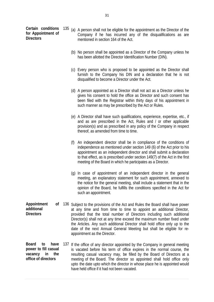**Certain conditions for Appointment of Directors** 

- 135 (a) A person shall not be eligible for the appointment as the Director of the Company if he has incurred any of the disqualifications as are mentioned in section 164 of the Act.
	- (b) No person shall be appointed as a Director of the Company unless he has been allotted the Director Identification Number (DIN).
	- (c) Every person who is proposed to be appointed as the Director shall furnish to the Company his DIN and a declaration that he is not disqualified to become a Director under the Act.
	- (d) A person appointed as a Director shall not act as a Director unless he gives his consent to hold the office as Director and such consent has been filed with the Registrar within thirty days of his appointment in such manner as may be prescribed by the Act or Rules.
	- (e) A Director shall have such qualifications, experience, expertise, etc., if and as are prescribed in the Act, Rules and / or other applicable provision(s) and as prescribed in any policy of the Company in respect thereof, as amended from time to time.
	- (f) An independent director shall be in compliance of the conditions of independence as mentioned under section 149 (6) of the Act prior to his appointment as an independent director and shall submit a declaration to that effect, as is prescribed under section 149(7) of the Act in the first meeting of the Board in which he participates as a Director.
	- (g) In case of appointment of an independent director in the general meeting, an explanatory statement for such appointment, annexed to the notice for the general meeting, shall include a statement that in the opinion of the Board, he fulfills the conditions specified in the Act for such an appointment.
- **Appointment of additional Directors**  136 Subject to the provisions of the Act and Rules the Board shall have power at any time and from time to time to appoint an additional Director, provided that the total number of Directors including such additional Director(s) shall not at any time exceed the maximum number fixed under the Articles. Any such additional Director shall hold office only up to the date of the next Annual General Meeting but shall be eligible for reappointment as the Director.
- **Board to have power to fill casual vacancy in the office of directors**  137 If the office of any director appointed by the Company in general meeting is vacated before his term of office expires in the normal course, the resulting casual vacancy may, be filled by the Board of Directors at a meeting of the Board. The director so appointed shall hold office only upto the date upto which the director in whose place he is appointed would have held office if it had not been vacated.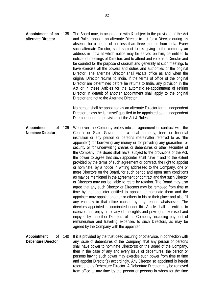**Appointment of an alternate Director**  The Board may, in accordance with & subject to the provision of the Act and Rules, appoint an alternate Director to act for a Director during his absence for a period of not less than three months from India. Every such alternate Director, shall subject to his giving to the company an address in India at which notice may be served on him, be entitled to notices of meetings of Directors and to attend and vote as a Director and be counted for the purpose of quorum and generally at such meetings to have exercise all the powers and duties and authorities of the original Director. The alternate Director shall vacate office as and when the original Director returns to India. If the terms of office of the original Director are determined before he returns to India, any provision in the Act or in these Articles for the automatic re-appointment of retiring Director in default of another appointment shall apply to the original Director and not to the Alternate Director.

> No person shall be appointed as an alternate Director for an independent Director unless he is himself qualified to be appointed as an independent Director under the provisions of the Act & Rules.

- **Appointment of Nominee Director**  Whenever the Company enters into an agreement or contract with the Central or State Government, a local authority, bank or financial institution or any person or persons (hereinafter referred to as "the appointer") for borrowing any money or for providing any guarantee or security or for underwriting shares or debentures or other securities of the Company, the Board shall have, subject to the provisions of the Act, the power to agree that such appointer shall have if and to the extent provided by the terms of such agreement or contract, the right to appoint or nominate, by a notice in writing addressed to the Company, one or more Directors on the Board, for such period and upon such conditions as may be mentioned in the agreement or contract and that such Director or Directors may not be liable to retire by rotation. The Board may also agree that any such Director or Directors may be removed from time to time by the appointer entitled to appoint or nominate them and the appointer may appoint another or others in his or their place and also fill any vacancy in that office caused by any reason whatsoever. The directors appointed or nominated under this Article shall be entitled to exercise and enjoy all or any of the rights and privileges exercised and enjoyed by the other Directors of the Company, including payment of remuneration and traveling expenses to such Directors, as may be agreed by the Company with the appointer.
- **Appointment of Debenture Director**  140 If it is provided by the trust deed securing or otherwise, in connection with any issue of debentures of the Company, that any person or persons shall have power to nominate Director(s) on the Board of the Company, then in the case of any and every issue of debentures, the person or persons having such power may exercise such power from time to time and appoint Director(s) accordingly. Any Director so appointed is herein referred to as Debenture Director. A Debenture Director may be removed from office at any time by the person or persons in whom for the time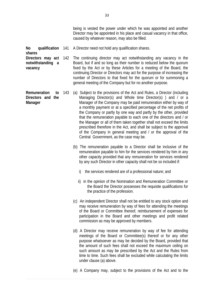being is vested the power under which he was appointed and another Director may be appointed in his place and casual vacancy in that office, caused by whatever reason, may also be filled.

**No qualification**  A Director need not hold any qualification shares.

**shares** 

**vacancy** 

**Directors may act notwithstanding a**  The continuing director may act notwithstanding any vacancy in the Board, but if and so long as their number is reduced below the quorum fixed by the Act or by these Articles for a meeting of the Board, the continuing Director or Directors may act for the purpose of increasing the number of Directors to that fixed for the quorum or for summoning a general meeting of the Company but for no another purpose.

- **Remuneration to Directors and the Manager**  143 (a) Subject to the provisions of the Act and Rules, a Director (including Managing Director(s) and Whole time Director(s) ) and / or a Manager of the Company may be paid remuneration either by way of a monthly payment or at a specified percentage of the net profits of the Company or partly by one way and partly by the other, provided that the remuneration payable to each one of the directors and / or the Manager or all of them taken together shall not exceed the limits prescribed therefore in the Act, and shall be subject to the approval of the Company in general meeting and / or the approval of the Central Government, as the case may be.
	- (b) The remuneration payable to a Director shall be inclusive of the remuneration payable to him for the services rendered by him in any other capacity provided that any remuneration for services rendered by any such Director in other capacity shall not be so included if:
		- i) the services rendered are of a professional nature; and
		- ii) in the opinion of the Nomination and Remuneration Committee or the Board the Director possesses the requisite qualifications for the practice of the profession.
	- (c) An independent Director shall not be entitled to any stock option and may receive remuneration by way of fees for attending the meetings of the Board or Committee thereof, reimbursement of expenses for participation in the Board and other meetings and profit related commission as may be approved by members.
	- (d) A Director may receive remuneration by way of fee for attending meetings of the Board or Committee(s) thereof or for any other purpose whatsoever as may be decided by the Board, provided that the amount of such fees shall not exceed the maximum ceiling on such amount as may be prescribed by the Act and the Rules from time to time. Such fees shall be excluded while calculating the limits under clause (a) above.
	- (e) A Company may, subject to the provisions of the Act and to the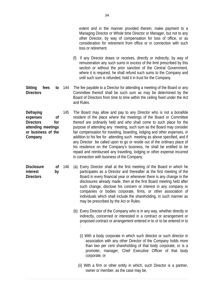extent and in the manner provided therein, make payment to a Managing Director or Whole time Director or Manager, but not to any other Director, by way of compensation for loss of office, or as consideration for retirement from office or in connection with such loss or retirement.

- (f) If any Director draws or receives, directly or indirectly, by way of remuneration any such sums in excess of the limit prescribed by this section or without the prior sanction of the Central Government, where it is required, he shall refund such sums to the Company and until such sum is refunded, hold it in trust for the Company.
- Sitting fees to 144 **Directors**  The fee payable to a Director for attending a meeting of the Board or any Committee thereof shall be such sum as may be determined by the Board of Directors from time to time within the ceiling fixed under the Act and Rules.
- **Defraying expenses of Directors for attending meetings or business of the Company**  145 The Board may allow and pay to any Director who is not a bonafide resident of the place where the meetings of the Board or Committee thereof are ordinarily held and who shall come to such place for the purpose of attending any meeting, such sum as the Board may consider fair compensation for traveling, boarding, lodging and other expenses, in addition to his fee for attending such meeting as above specified, and if any Director be called upon to go or reside out of the ordinary place of his residence on the Company's business, he shall be entitled to be repaid and reimbursed any travelling, lodging or other expense incurred in connection with business of the Company.
- Disclosure of 146 **interest by Directors**  (a) Every Director shall at the first meeting of the Board in which he participates as a Director and thereafter at the first meeting of the Board in every financial year or whenever there is any change in the disclosures already made, then at the first Board meeting held after such change, disclose his concern or interest in any company or companies or bodies corporate, firms, or other association of individuals which shall include the shareholding, in such manner as may be prescribed by the Act or Rules.
	- (b) Every Director of the Company who is in any way, whether directly or indirectly, concerned or interested in a contract or arrangement or proposed contract or arrangement entered in to or to be entered in to :
		- (i) With a body corporate in which such director or such director in association with any other Director of the Company holds more than two per cent shareholding of that body corporate, or is a promoter, manager, Chief Executive Officer of that body corporate; or
		- (ii) With a firm or other entity in which, such Director is a partner, owner or member, as the case may be,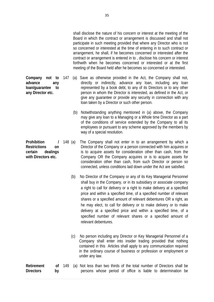shall disclose the nature of his concern or interest at the meeting of the Board in which the contract or arrangement is discussed and shall not participate in such meeting provided that where any Director who is not so concerned or interested at the time of entering in to such contract or arrangement, he shall, if he becomes concerned or interested after the contract or arrangement is entered in to , disclose his concern or interest forthwith when he becomes concerned or interested or at the first meeting of the Board held after he becomes so concerned or interested.

- 147 (a) Save as otherwise provided in the Act, the Company shall not, directly or indirectly, advance any loan, including any loan represented by a book debt, to any of its Directors or to any other person in whom the Director is interested, as defined in the Act, or give any guarantee or provide any security in connection with any loan taken by a Director or such other person.
	- (b) Notwithstanding anything mentioned in (a) above, the Company may give any loan to a Managing or a Whole time Director as a part of the conditions of service extended by the Company to all its employees or pursuant to any scheme approved by the members by way of a special resolution.
	- 148 (a) The Company shall not enter in to an arrangement by which a Director of the Company or a person connected with him acquires or is to acquire assets for consideration other than cash, from the Company OR the Company acquires or is to acquire assets for consideration other than cash, from such Director or person so connected, unless conditions laid down under the Act are satisfied.
		- (b) No Director of the Company or any of its Key Managerial Personnel shall buy in the Company, or in its subsidiary or associate company a right to call for delivery or a right to make delivery at a specified price and within a specified time, of a specified number of relevant shares or a specified amount of relevant debentures OR a right, as he may elect, to call for delivery or to make delivery or to make delivery at a specified price and within a specified time, of a specified number of relevant shares or a specified amount of relevant debentures.
		- (c) No person including any Director or Key Managerial Personnel of a Company shall enter into insider trading provided that nothing contained in this Articles shall apply to any communication required in the ordinary course of business or profession or employment or under any law.

| <b>Retirement</b> |  |  |  |  |  | of 149 (a) Not less than two thirds of the total number of Directors shall be |  |
|-------------------|--|--|--|--|--|-------------------------------------------------------------------------------|--|
| <b>Directors</b>  |  |  |  |  |  | persons whose period of office is liable to determination be                  |  |

**Company not to advance any loan/guarantee to any Director etc.** 

**Prohibition / Restrictions on certain dealings with Directors etc.**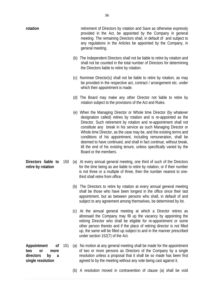| rotation                                                                            |     | retirement of Directors by rotation and Save as otherwise expressly<br>provided in the Act, be appointed by the Company in general<br>meeting. The remaining Directors shall, in default of and subject to<br>any regulations in the Articles be appointed by the Company, in<br>general meeting.                                                                                                                                                                                                                                                                                                       |
|-------------------------------------------------------------------------------------|-----|---------------------------------------------------------------------------------------------------------------------------------------------------------------------------------------------------------------------------------------------------------------------------------------------------------------------------------------------------------------------------------------------------------------------------------------------------------------------------------------------------------------------------------------------------------------------------------------------------------|
|                                                                                     |     | (b) The Independent Directors shall not be liable to retire by rotation and<br>shall not be counted in the total number of Directors for determining<br>the Directors liable to retire by rotation.                                                                                                                                                                                                                                                                                                                                                                                                     |
|                                                                                     |     | (c) Nominee Director(s) shall not be liable to retire by rotation, as may<br>be provided in the respective act, contract / arrangement etc. under<br>which their appointment is made.                                                                                                                                                                                                                                                                                                                                                                                                                   |
|                                                                                     |     | (d) The Board may make any other Director not liable to retire by<br>rotation subject to the provisions of the Act and Rules.                                                                                                                                                                                                                                                                                                                                                                                                                                                                           |
|                                                                                     |     | (e) When the Managing Director or Whole time Director (by whatever<br>designation called) retires by rotation and is re-appointed as the<br>Director, Such retirement by rotation and re-appointment shall not<br>constitute any break in his service as such Managing Director or<br>Whole time Director, as the case may be, and the existing terms and<br>conditions of his appointment, including remuneration, shall be<br>deemed to have continued, and shall in fact continue, without break,<br>till the end of his existing tenure, unless specifically varied by the<br>Board or the members. |
| Directors liable to<br>retire by rotation                                           | 150 | (a) At every annual general meeting, one third of such of the Directors<br>for the time being as are liable to retire by rotation, or if their number<br>is not three or a multiple of three, then the number nearest to one-<br>third shall retire from office.                                                                                                                                                                                                                                                                                                                                        |
|                                                                                     |     | (b) The Directors to retire by rotation at every annual general meeting<br>shall be those who have been longest in the office since their last<br>appointment, but as between persons who shall, in default of and<br>subject to any agreement among themselves, be determined by lot.                                                                                                                                                                                                                                                                                                                  |
|                                                                                     |     | (c) At the annual general meeting at which a Director retires as<br>aforesaid the Company may fill up the vacancy by appointing the<br>retiring Director who shall be eligible for re-appointment or some<br>other person thereto and if the place of retiring director is not filled<br>up, the same will be filled up subject to and in the manner prescribed<br>under section 152(7) of the Act.                                                                                                                                                                                                     |
| Appointment<br>Οf<br>two<br>or<br>more<br>directors<br>by<br>a<br>single resolution | 151 | (a) No motion at any general meeting shall be made for the appointment<br>of two or more persons as Directors of the Company by a single<br>resolution unless a proposal that it shall be so made has been first<br>agreed to by the meeting without any vote being cast against it.                                                                                                                                                                                                                                                                                                                    |
|                                                                                     |     | (b) A resolution moved in contravention of clause (a) shall be void                                                                                                                                                                                                                                                                                                                                                                                                                                                                                                                                     |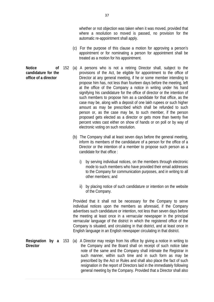whether or not objection was taken when it was moved, provided that where a resolution so moved is passed, no provision for the automatic re-appointment shall apply.

- (c) For the purpose of this clause a motion for approving a person's appointment or for nominating a person for appointment shall be treated as a motion for his appointment.
- 152 (a) A persons who is not a retiring Director shall, subject to the provisions of the Act, be eligible for appointment to the office of Director at any general meeting, if he or some member intending to propose him has, not less than fourteen days before the meeting, left at the office of the Company a notice in writing under his hand signifying his candidature for the office of director or the intention of such members to propose him as a candidate for that office, as the case may be, along with a deposit of one lakh rupees or such higher amount as may be prescribed which shall be refunded to such person or, as the case may be, to such member, if the person proposed gets elected as a director or gets more than twenty five percent votes cast either on show of hands or on poll or by way of electronic voting on such resolution.
	- (b) The Company shall at least seven days before the general meeting, inform its members of the candidature of a person for the office of a Director or the intention of a member to propose such person as a candidate for that office :
		- i) by serving individual notices, on the members through electronic mode to such members who have provided their email addresses to the Company for communication purposes, and in writing to all other members; and
		- ii) by placing notice of such candidature or intention on the website of the Company.

Provided that it shall not be necessary for the Company to serve individual notices upon the members as aforesaid, if the Company advertises such candidature or intention, not less than seven days before the meeting at least once in a vernacular newspaper in the principal vernacular language of the district in which the registered office of the Company is situated, and circulating in that district, and at least once in English language in an English newspaper circulating in that district.

**Resignation by a**  (a) A Director may resign from his office by giving a notice in writing to the Company and the Board shall on receipt of such notice take note of the same and the Company shall intimate the Registrar in such manner, within such time and in such form as may be prescribed by the Act or Rules and shall also place the fact of such resignation in the report of Directors laid in the immediately following general meeting by the Company. Provided that a Director shall also

**Notice of candidature for the office of a director** 

**Director**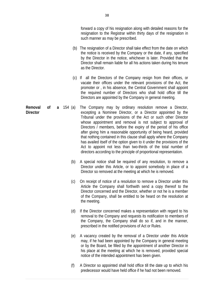forward a copy of his resignation along with detailed reasons for the resignation to the Registrar within thirty days of the resignation in such manner as may be prescribed.

- (b) The resignation of a Director shall take effect from the date on which the notice is received by the Company or the date, if any, specified by the Director in the notice, whichever is later. Provided that the Director shall remain liable for all his actions taken during his tenure as the Director.
- (c) If all the Directors of the Company resign from their offices, or vacate their offices under the relevant provisions of the Act, the promoter or , in his absence, the Central Government shall appoint the required number of Directors who shall hold office till the Directors are appointed by the Company in general meeting.
- **Removal of a Director**  The Company may by ordinary resolution remove a Director, excepting a Nominee Director, or a Director appointed by the Tribunal under the provisions of the Act or such other Director whose appointment and removal is not subject to approval of Directors / members, before the expiry of the period of his office after giving him a reasonable opportunity of being heard, provided that nothing contained in this clause shall apply where the Company has availed itself of the option given to it under the provisions of the Act to appoint not less than two-thirds of the total number of directors according to the principle of proportional representation.
	- (b) A special notice shall be required of any resolution, to remove a Director under this Article, or to appoint somebody in place of a Director so removed at the meeting at which he is removed.
	- (c) On receipt of notice of a resolution to remove a Director under this Article the Company shall forthwith send a copy thereof to the Director concerned and the Director, whether or not he is a member of the Company, shall be entitled to be heard on the resolution at the meeting.
	- (d) If the Director concerned makes a representation with regard to his removal to the Company and requests its notification to members of the Company, the Company shall do so if, and in the manner, prescribed in the notified provisions of Act or Rules.
	- (e) A vacancy created by the removal of a Director under this Article may, if he had been appointed by the Company in general meeting or by the Board, be filled by the appointment of another Director in his place at the meeting at which he is removed, provided special notice of the intended appointment has been given.
	- (f) A Director so appointed shall hold office till the date up to which his predecessor would have held office if he had not been removed.

38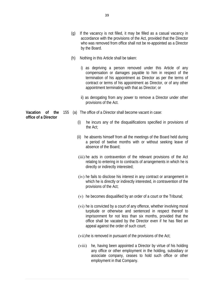- (g) If the vacancy is not filled, it may be filled as a casual vacancy in accordance with the provisions of the Act, provided that the Director who was removed from office shall not be re-appointed as a Director by the Board.
- (h) Nothing in this Article shall be taken:
	- i) as depriving a person removed under this Article of any compensation or damages payable to him in respect of the termination of his appointment as Director as per the terms of contract or terms of his appointment as Director, or of any other appointment terminating with that as Director; or
	- ii) as derogating from any power to remove a Director under other provisions of the Act.
- **Vacation of the**  155 (a) The office of a Director shall become vacant in case:
	- (i) he incurs any of the disqualifications specified in provisions of the Act;
	- (ii) he absents himself from all the meetings of the Board held during a period of twelve months with or without seeking leave of absence of the Board;
	- (iii) he acts in contravention of the relevant provisions of the Act relating to entering in to contracts of arrangements in which he is directly or indirectly interested;
	- (iv) he fails to disclose his interest in any contract or arrangement in which he is directly or indirectly interested, in contravention of the provisions of the Act;
	- (v) he becomes disqualified by an order of a court or the Tribunal;
	- (vi) he is convicted by a court of any offence, whether involving moral turpitude or otherwise and sentenced in respect thereof to imprisonment for not less than six months, provided that the office shall be vacated by the Director even if he has filed an appeal against the order of such court;
	- (vii)he is removed in pursuant of the provisions of the Act;
	- (viii) he, having been appointed a Director by virtue of his holding any office or other employment in the holding, subsidiary or associate company, ceases to hold such office or other employment in that Company.

**office of a Director**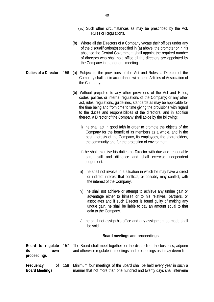- (ix) Such other circumstances as may be prescribed by the Act, Rules or Regulations.
- (b) Where all the Directors of a Company vacate their offices under any of the disqualification(s) specified in (a) above, the promoter or in his absence the Central Government shall appoint the required number of directors who shall hold office till the directors are appointed by the Company in the general meeting.
- **Duties of a Director** 156 (a) Subject to the provisions of the Act and Rules, a Director of the Company shall act in accordance with these Articles of Association of the Company.
	- (b) Without prejudice to any other provisions of the Act and Rules; codes, policies or internal regulations of the Company; or any other act, rules, regulations, guidelines, standards as may be applicable for the time being and from time to time giving the provisions with regard to the duties and responsibilities of the directors, and in addition thereof, a Director of the Company shall abide by the following:
		- i) he shall act in good faith in order to promote the objects of the Company for the benefit of its members as a whole, and in the best interests of the Company, its employees, the shareholders, the community and for the protection of environment.
		- ii) he shall exercise his duties as Director with due and reasonable care, skill and diligence and shall exercise independent judgement.
		- iii) he shall not involve in a situation in which he may have a direct or indirect interest that conflicts, or possibly may conflict, with the interest of the Company.
		- iv) he shall not achieve or attempt to achieve any undue gain or advantage either to himself or to his relatives, partners, or associates and if such Director is found guilty of making any undue gain, he shall be liable to pay an amount equal to that gain to the Company.
		- v) he shall not assign his office and any assignment so made shall be void.

#### **Board meetings and proceedings**

**Board to regulate its own proceedings**  The Board shall meet together for the dispatch of the business, adjourn and otherwise regulate its meetings and proceedings as it may deem fit. **Frequency** of 158 **Board Meetings**  Minimum four meetings of the Board shall be held every year in such a manner that not more than one hundred and twenty days shall intervene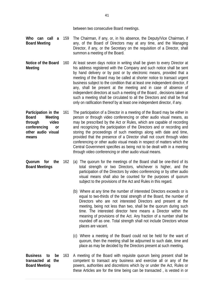between two consecutive Board meetings.

- **Who can call a Board Meeting**  The Chairman, if any, or, in his absence, the Deputy/Vice Chairman, if any, of the Board of Directors may at any time, and the Managing Director, if any, or the Secretary on the requisition of a Director, shall summon a meeting of the Board.
- **Notice of the Board Meeting**  160 At least seven days notice in writing shall be given to every Director at his address registered with the Company and such notice shall be sent by hand delivery or by post or by electronic means, provided that a meeting of the Board may be called at shorter notice to transact urgent business subject to the condition that at least one independent director, if any, shall be present at the meeting and in case of absence of independent directors at such a meeting of the Board , decisions taken at such a meeting shall be circulated to all the Directors and shall be final only on ratification thereof by at least one independent director, if any.
- **Participation in the Board Meeting through video conferencing or other audio visual means**  161 The participation of a Director in a meeting of the Board may be either in person or through video conferencing or other audio visual means, as may be prescribed by the Act or Rules, which are capable of recording and recognizing the participation of the Directors and or recording and storing the proceedings of such meetings along with date and time, provided that the presence of a Director shall not count through video conferencing or other audio visual meals in respect of matters which the Central Government specifies as being not to be dealt with in a meeting through video conferencing or other audio visual means.
- **Quorum for the Board Meetings**  (a) The quorum for the meetings of the Board shall be one-third of its total strength or two Directors, whichever is higher, and the participation of the Directors by video conferencing or by other audio visual means shall also be counted for the purposes of quorum subject to the provisions of the Act and Rules in this regard.
	- (b) Where at any time the number of interested Directors exceeds or is equal to two-thirds of the total strength of the Board, the number of Directors who are not interested Directors and present at the meeting, being not less than two, shall be the quorum during such time. The interested director here means a Director within the meaning of provisions of the Act. Any fraction of a number shall be rounded off as one. Total strength shall not include Directors whose places are vacant.
		- (c) Where a meeting of the Board could not be held for the want of quorum, then the meeting shall be adjourned to such date, time and place as may be decided by the Directors present at such meeting.
- **Business to be transacted at the Board Meeting**  163 A meeting of the Board with requisite quorum being present shall be competent to transact any business and exercise all or any of the powers, authorities and discretions which by or under the Act, Rules or these Articles are for the time being can be transacted , is vested in or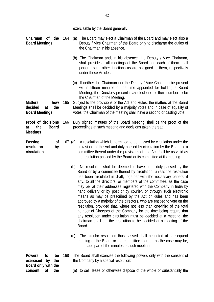| exercisable by the Board generally. |  |
|-------------------------------------|--|
|-------------------------------------|--|

| Chairman of the<br><b>Board Meetings</b>                                   | 164 |         | (a) The Board may elect a Chairman of the Board and may elect also a<br>Deputy / Vice Chairman of the Board only to discharge the duties of<br>the Chairman in his absence.                                                                                                                                                                                                                                                                                                                                                                                                                                                                                                                                                                                                                                                                                                        |
|----------------------------------------------------------------------------|-----|---------|------------------------------------------------------------------------------------------------------------------------------------------------------------------------------------------------------------------------------------------------------------------------------------------------------------------------------------------------------------------------------------------------------------------------------------------------------------------------------------------------------------------------------------------------------------------------------------------------------------------------------------------------------------------------------------------------------------------------------------------------------------------------------------------------------------------------------------------------------------------------------------|
|                                                                            |     |         | (b) The Chairman and, in his absence, the Deputy / Vice Chairman,<br>shall preside at all meetings of the Board and each of them shall<br>perform such other functions as are assigned to them, respectively<br>under these Articles.                                                                                                                                                                                                                                                                                                                                                                                                                                                                                                                                                                                                                                              |
|                                                                            |     |         | (c) If neither the Chairman nor the Deputy / Vice Chairman be present<br>within fifteen minutes of the time appointed for holding a Board<br>Meeting, the Directors present may elect one of their number to be<br>the Chairman of the Meeting.                                                                                                                                                                                                                                                                                                                                                                                                                                                                                                                                                                                                                                    |
| <b>Matters</b><br>how<br>decided<br>the<br>at<br><b>Board Meetings</b>     | 165 |         | Subject to the provisions of the Act and Rules, the matters at the Board<br>Meetings shall be decided by a majority votes and in case of equality of<br>votes, the Chairman of the meeting shall have a second or casting vote.                                                                                                                                                                                                                                                                                                                                                                                                                                                                                                                                                                                                                                                    |
| Proof of decisions<br>the<br><b>Board</b><br>at<br><b>Meetings</b>         | 166 |         | Duly signed minutes of the Board Meeting shall be the proof of the<br>proceedings at such meeting and decisions taken thereat.                                                                                                                                                                                                                                                                                                                                                                                                                                                                                                                                                                                                                                                                                                                                                     |
| Passing<br>0f<br>resolution<br>by<br>circulation                           |     | 167 (a) | A resolution which is permitted to be passed by circulation under the<br>provisions of the Act and duly passed by circulation by the Board or a<br>committee thereof under the provisions of the Act shall be as valid as<br>the resolution passed by the Board or its committee at its meeting.                                                                                                                                                                                                                                                                                                                                                                                                                                                                                                                                                                                   |
|                                                                            |     | (b)     | No resolution shall be deemed to have been duly passed by the<br>Board or by a committee thereof by circulation, unless the resolution<br>has been circulated in draft, together with the necessary papers, if<br>any, to all the directors, or members of the committee, as the case<br>may be, at their addresses registered with the Company in India by<br>hand delivery or by post or by courier, or through such electronic<br>means as may be prescribed by the Act or Rules and has been<br>approved by a majority of the directors, who are entitled to vote on the<br>resolution, provided that, where not less than one-third of the total<br>number of Directors of the Company for the time being require that<br>any resolution under circulation must be decided at a meeting, the<br>chairman shall put the resolution to be decided at a meeting of the<br>Board. |
|                                                                            |     | (c)     | The circular resolution thus passed shall be noted at subsequent<br>meeting of the Board or the committee thereof, as the case may be,<br>and made part of the minutes of such meeting.                                                                                                                                                                                                                                                                                                                                                                                                                                                                                                                                                                                                                                                                                            |
| <b>Powers</b><br>to<br>be<br>exercised<br>by<br>the<br>Board only with the | 168 |         | The Board shall exercise the following powers only with the consent of<br>the Company by a special resolution:                                                                                                                                                                                                                                                                                                                                                                                                                                                                                                                                                                                                                                                                                                                                                                     |

**Board only with the consent of the** 

(a) to sell, lease or otherwise dispose of the whole or substantially the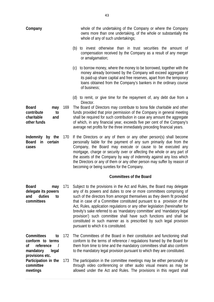| Company                                                                         |     | whole of the undertaking of the Company or where the Company<br>owns more than one undertaking, of the whole or substantially the<br>whole of any of such undertakings;                                                                                                                                                                                                                                                                                                                                                                                                                                                                              |
|---------------------------------------------------------------------------------|-----|------------------------------------------------------------------------------------------------------------------------------------------------------------------------------------------------------------------------------------------------------------------------------------------------------------------------------------------------------------------------------------------------------------------------------------------------------------------------------------------------------------------------------------------------------------------------------------------------------------------------------------------------------|
|                                                                                 |     | (b) to invest otherwise than in trust securities the amount of<br>compensation received by the Company as a result of any merger<br>or amalgamation;                                                                                                                                                                                                                                                                                                                                                                                                                                                                                                 |
|                                                                                 |     | (c) to borrow money, where the money to be borrowed, together with the<br>money already borrowed by the Company will exceed aggregate of<br>its paid-up share capital and free reserves, apart from the temporary<br>loans obtained from the Company's bankers in the ordinary course<br>of business;                                                                                                                                                                                                                                                                                                                                                |
|                                                                                 |     | (d) to remit, or give time for the repayment of, any debt due from a                                                                                                                                                                                                                                                                                                                                                                                                                                                                                                                                                                                 |
| <b>Board</b><br>may<br>contribute<br>to<br>charitable<br>and<br>other funds     | 169 | Director.<br>The Board of Directors may contribute to bona fide charitable and other<br>funds provided that prior permission of the Company in general meeting<br>shall be required for such contribution in case any amount the aggregate<br>of which, in any financial year, exceeds five per cent of the Company's<br>average net profits for the three immediately preceding financial years.                                                                                                                                                                                                                                                    |
| Indemnity<br>by the<br>certain<br><b>Board</b><br>in<br>cases                   | 170 | If the Directors or any of them or any other person(s) shall become<br>personally liable for the payment of any sum primarily due from the<br>Company, the Board may execute or cause to be executed any<br>mortgage, charge or security over or affecting the whole or any part of<br>the assets of the Company by way of indemnity against any loss which<br>the Directors or any of them or any other person may suffer by reason of<br>becoming or being sureties for the Company.                                                                                                                                                               |
|                                                                                 |     | <b>Committees of the Board</b>                                                                                                                                                                                                                                                                                                                                                                                                                                                                                                                                                                                                                       |
| <b>Board</b><br>may<br>delegate its powers<br>duties<br>and<br>to<br>committees | 171 | Subject to the provisions in the Act and Rules, the Board may delegate<br>any of its powers and duties to one or more committees comprising of<br>such of the directors from amongst themselves as they deem fit provided<br>that in case of a Committee constituted pursuant to a provision of the<br>Act, Rules, application regulations or any other legislation (hereinafter for<br>brevity's sake referred to as 'mandatory committee' and 'mandatory legal<br>provision') such committee shall have such functions and shall be<br>constituted in such manner as is prescribed by such legal provision<br>pursuant to which it is constituted. |
| Committees<br>to<br>conform to terms<br>οf<br>reference<br>mandatory<br>legal   | 172 | The Committees of the Board in their constitution and functioning shall<br>conform to the terms of reference / regulations framed by the Board for<br>them from time to time and the mandatory committees shall also conform<br>to the mandatory legal provision pursuant to which they are constituted.                                                                                                                                                                                                                                                                                                                                             |
| provisions etc.<br>Participation in the<br>committee<br>meetings                | 173 | The participation in the committee meetings may be either personally or<br>through video conferencing or other audio visual means as may be<br>allowed under the Act and Rules. The provisions in this regard shall                                                                                                                                                                                                                                                                                                                                                                                                                                  |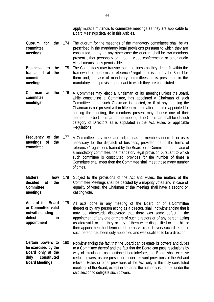apply mutatis mutandis to committee meetings as they are applicable to Board Meetings detailed in this Articles.

- **Quorum for the committee meetings**  174 The quorum for the meetings of the mandatory committees shall be as prescribed in the mandatory legal provisions pursuant to which they are constituted, if any. In any other case the quorum shall be two members present either personally or through video conferencing or other audio visual means, as is permissible.
- **Business to be transacted at the committee meetings**  175 The Committees may transact such business as they deem fit within the framework of the terms of reference / regulations issued by the Board for them and, in case of mandatory committees as is prescribed in the mandatory legal provision pursuant to which they are constituted.
- **Chairman at the**  176 A Committee may elect a Chairman of its meetings unless the Board, **committee meetings**  while constituting a Committee, has appointed a Chairman of such Committee. If no such Chairman is elected, or if at any meeting the Chairman is not present within fifteen minutes after the time appointed for holding the meeting, the members present may choose one of their members to be Chairman of the meeting. The Chairman shall be of such category of Directors as is stipulated in the Act, Rules or applicable Regulations.
- **Frequency of the meetings of the committee**  177 A Committee may meet and adjourn as its members deem fit or as is necessary for the dispatch of business, provided that if the terms of reference / regulations framed by the Board for a Committee or, in case of a mandatory committee, the mandatory legal provision pursuant to which such committee is constituted, provides for the number of times a Committee shall meet then the Committee shall meet those many number of times.
- **Matters how decided at the Committee meetings**  178 Subject to the provisions of the Act and Rules, the matters at the Committee Meetings shall be decided by a majority votes and in case of equality of votes, the Chairman of the meeting shall have a second or casting vote.
- **Acts of the Board or Committee valid notwithstanding defect in appointment**  All acts done in any meeting of the Board or of a Committee thereof or by any person acting as a director, shall, notwithstanding that it may be afterwards discovered that there was some defect in the appointment of any one or more of such directors or of any person acting as aforesaid, or that they or any of them were disqualified or that his or their appointment had terminated, be as valid as if every such director or such person had been duly appointed and was qualified to be a director.
- **Certain powers to be exercised by the Board only at the duly constituted Board Meetings**  180 Notwithstanding the fact that the Board can delegate its powers and duties to a Committee thereof and the fact that the Board can pass resolutions by way of circulation, as mentioned hereinbefore, the Board shall exercise certain powers, as are prescribed under relevant provisions of the Act and relevant Rules or other provisions of the Act, only at the duly constituted meetings of the Board, except in so far as the authority is granted under the said section to delegate such powers.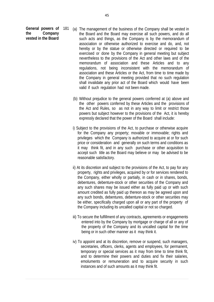General powers of 181 **the Company vested in the Board** 

- (a) The management of the business of the Company shall be vested in the Board and the Board may exercise all such powers, and do all such acts and things, as the Company is by the memorandum of association or otherwise authorized to exercise and do, and, not hereby or by the statue or otherwise directed or required to be exercised or done by the Company in general meeting but subject nevertheless to the provisions of the Act and other laws and of the memorandum of association and these Articles and to any regulations, not being inconsistent with the memorandum of association and these Articles or the Act, from time to time made by the Company in general meeting provided that no such regulation shall invalidate any prior act of the Board which would have been valid if such regulation had not been made.
- (b) Without prejudice to the general powers conferred at (a) above and the other powers conferred by these Articles and the provisions of the Act and Rules, so as not in any way to limit or restrict those powers but subject however to the provisions of the Act, it is hereby expressly declared that the power of the Board shall include:
- i) Subject to the provisions of the Act, to purchase or otherwise acquire for the Company any property; movable or immovable; rights and privileges which the Company is authorized to acquire at or for such price or consideration and generally on such terms and conditions as it may think fit, and in any such purchase or other acquisition to accept such title as the Board may believe or may be advised to be reasonable satisfactory.
- ii) At its discretion and subject to the provisions of the Act, to pay for any property, rights and privileges, acquired by or for services rendered to the Company, either wholly or partially, in cash or in shares, bonds, debentures, debenture-stock or other securities of the Company and any such shares may be issued either as fully paid up or with such amount credited as fully paid up thereon as may be agreed upon and any such bonds, debentures, debenture-stock or other securities may be either, specifically charged upon all or any part of the property of the Company including its uncalled capital or not so charged.
- iii) To secure the fulfillment of any contracts, agreements or engagements entered into by the Company by mortgage or charge of all or any of the property of the Company and its uncalled capital for the time being or in such other manner as it may think it.
- iv) To appoint and at its discretion, remove or suspend, such managers, secretaries, officers, clerks, agents and employees, for permanent, temporary or special services as it may from time to time think fit, and to determine their powers and duties and fix their salaries, emoluments or remuneration and to acquire security in such instances and of such amounts as it may think fit.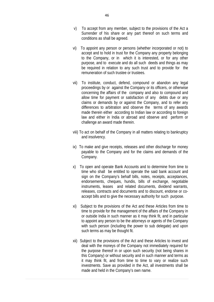- v) To accept from any member, subject to the provisions of the Act a Surrender of his share or any part thereof on such terms and conditions as shall be agreed.
- vi) To appoint any person or persons (whether incorporated or not) to accept and to hold in trust for the Company any property belonging to the Company, or in which it is interested, or for any other purpose, and to execute and do all such deeds and things as may be required in relation to any such trust and to provide for the remuneration of such trustee or trustees.
- vii) To institute, conduct, defend, compound or abandon any legal proceedings by or against the Company or its officers, or otherwise concerning the affairs of the company and also to compound and allow time for payment or satisfaction of any debts due or any claims or demands by or against the Company, and to refer any differences to arbitration and observe the terms of any awards made therein either according to Indian law or according to foreign law and either in India or abroad and observe and perform or challenge an award made therein.
- viii) To act on behalf of the Company in all matters relating to bankruptcy and insolvency.
- ix) To make and give receipts, releases and other discharge for money payable to the Company and for the claims and demands of the Company.
- x) To open and operate Bank Accounts and to determine from time to time who shall be entitled to operate the said bank account and sign on the Company's behalf bills, notes, receipts, acceptances, endorsements, cheques, hundis, bills of exchange, negotiable instruments, leases and related documents, dividend warrants, releases, contracts and documents and to discount, endorse or coaccept bills and to give the necessary authority for such purpose.
- xi) Subject to the provisions of the Act and these Articles from time to time to provide for the management of the affairs of the Company in or outside India in such manner as it may think fit, and in particular to appoint any person to be the attorneys or agents of the Company with such person (including the power to sub delegate) and upon such terms as may be thought fit.
- xii) Subject to the provisions of the Act and these Articles to invest and deal with the moneys of the Company not immediately required for the purpose thereof in or upon such security (not being shares in this Company) or without security and in such manner and terms as it may think fit, and from time to time to vary or realize such investments. Save as provided in the Act, all investments shall be made and held in the Company's own name.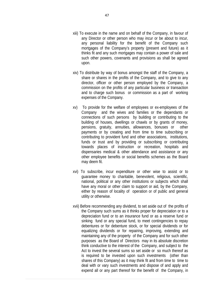- xiii) To execute in the name and on behalf of the Company, in favour of any Director or other person who may incur or be about to incur, any personal liability for the benefit of the Company such mortgages of the Company's property (present and future) as it thinks fit and any such mortgages may contain a power of sale and such other powers, covenants and provisions as shall be agreed upon.
- xiv) To distribute by way of bonus amongst the staff of the Company, a share or shares in the profits of the Company, and to give to any director, officer or other person employed by the Company, a commission on the profits of any particular business or transaction and to charge such bonus or commission as a part of working expenses of the Company.
- xv) To provide for the welfare of employees or ex-employees of the Company and the wives and families or the dependants or connections of such persons by building or contributing to the building of houses, dwellings or chawls or by grants of money, pensions, gratuity, annuities, allowances, bonuses or other payments or by creating and from time to time subscribing or contributing to provident fund and other associations, institutions, funds or trust and by providing or subscribing or contributing towards places of instruction or recreation, hospitals and dispensaries medical & other attendance and assistance or any other employee benefits or social benefits schemes as the Board may deem fit.
- xvi) To subscribe, incur expenditure or other wise to assist or to guarantee money to charitable, benevolent, religious, scientific, national, political or any other institutions or subjects which shall have any moral or other claim to support or aid, by the Company, either by reason of locality of operation or of public and general utility or otherwise.
- xvii) Before recommending any dividend, to set aside out of the profits of the Company such sums as it thinks proper for depreciation or to a depreciation fund or to an insurance fund or as a reserve fund or sinking fund or any special fund, to meet contingencies to repay debentures or for debenture stock, or for special dividends or for equalizing dividends or for repairing, improving, extending and maintaining any of the property of the Company and for such other purposes as the Board of Directors may in its absolute discretion think conductive to the interest of the Company, and subject to the Act to invest the several sums so set aside or so much thereof as is required to be invested upon such investments (other than shares of this Company) as it may think fit and from time to time to deal with or vary such investments and dispose of and apply and expend all or any part thereof for the benefit of the Company, in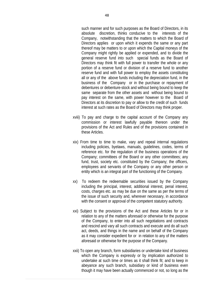such manner and for such purposes as the Board of Directors, in its absolute discretion, thinks conducive to the interests of the Company, notwithstanding that the matters to which the Board of Directors applies or upon which it expends the same or any part thereof may be matters to or upon which the Capital moneys of the Company might rightly be applied or expended, and to divide the general reserve fund into such special funds as the Board of Directors may think fit with full power to transfer the whole or any portion of a reserve fund or division of a reserve fund to another reserve fund and with full power to employ the assets constituting all or any of the above funds including the depreciation fund, in the business of the Company or in the purchase or repayment of debentures or debenture-stock and without being bound to keep the same separate from the other assets and without being bound to pay interest on the same, with power however to the Board of Directors at its discretion to pay or allow to the credit of such funds interest at such rates as the Board of Directors may think proper.

- xviii) To pay and charge to the capital account of the Company any commission or interest lawfully payable thereon under the provisions of the Act and Rules and of the provisions contained in these Articles.
- xix) From time to time to make, vary and repeal internal regulations including policies, byelaws, manuals, guidelines, codes, terms of reference etc. for the regulation of the business operations of the Company; committees of the Board or any other committees; any fund, trust, society etc. constituted by the Company; the officers, employees and servants of the Company or any other person or entity which is an integral part of the functioning of the Company.
- xx) To redeem the redeemable securities issued by the Company including the principal, interest, additional interest, penal interest, costs, charges etc. as may be due on the same as per the terms of the issue of such security and, wherever necessary, in accordance with the consent or approval of the competent statutory authority.
- xxi) Subject to the provisions of the Act and these Articles for or in relation to any of the matters aforesaid or otherwise for the purpose of the Company, to enter into all such negotiations and contracts and rescind and vary all such contracts and execute and do all such act, deeds, and things in the name and on behalf of the Company as it may consider expedient for or in relation to any of the matters aforesaid or otherwise for the purpose of the Company.
- xxii) To open any branch, form subsidiaries or undertake kind of business which the Company is expressly or by implication authorized to undertake at such time or times as it shall think fit; and to keep in abeyance any such branch, subsidiary or kind of business even though it may have been actually commenced or not, so long as the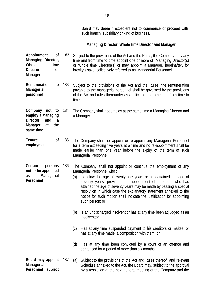Board may deem it expedient not to commence or proceed with such branch, subsidiary or kind of business.

# **Managing Director, Whole time Director and Manager**

| Appointment<br>οf<br>Managing Director,<br>Whole<br>time<br><b>Director</b><br>or<br>Manager            | 182 | Subject to the provisions of the Act and the Rules, the Company may any<br>time and from time to time appoint one or more of Managing Director(s)<br>or Whole time Director(s) or may appoint a Manager, hereinafter, for<br>brevity's sake, collectively referred to as 'Managerial Personnel'.                                                                                                                                                                                                                                                                                                                                                                                                            |
|---------------------------------------------------------------------------------------------------------|-----|-------------------------------------------------------------------------------------------------------------------------------------------------------------------------------------------------------------------------------------------------------------------------------------------------------------------------------------------------------------------------------------------------------------------------------------------------------------------------------------------------------------------------------------------------------------------------------------------------------------------------------------------------------------------------------------------------------------|
| Remuneration<br>to<br>Managerial<br>personnel                                                           | 183 | Subject to the provisions of the Act and the Rules, the remuneration<br>payable to the managerial personnel shall be governed by the provisions<br>of the Act and rules thereunder as applicable and amended from time to<br>time.                                                                                                                                                                                                                                                                                                                                                                                                                                                                          |
| Company not to<br>employ a Managing<br><b>Director</b><br>and<br>a<br>Manager<br>the<br>at<br>same time | 184 | The Company shall not employ at the same time a Managing Director and<br>a Manager.                                                                                                                                                                                                                                                                                                                                                                                                                                                                                                                                                                                                                         |
| Tenure<br>0f<br>employment                                                                              | 185 | The Company shall not appoint or re-appoint any Managerial Personnel<br>for a term exceeding five years at a time and no re-appointment shall be<br>made earlier than one year before the expiry of the term of such<br>Managerial Personnel.                                                                                                                                                                                                                                                                                                                                                                                                                                                               |
| Certain<br>persons<br>not to be appointed<br>Managerial<br>as<br>Personnel                              | 186 | The Company shall not appoint or continue the employment of any<br>Managerial Personnel who:<br>Is below the age of twenty-one years or has attained the age of<br>(a)<br>seventy years, provided that appointment of a person who has<br>attained the age of seventy years may be made by passing a special<br>resolution in which case the explanatory statement annexed to the<br>notice for such motion shall indicate the justification for appointing<br>such person; or<br>Is an undischarged insolvent or has at any time been adjudged as an<br>(b)<br>insolvent;or<br>Has at any time suspended payment to his creditors or makes, or<br>(C)<br>has at any time made, a composition with them; or |
|                                                                                                         |     | Has at any time been convicted by a court of an offence and<br>(d)<br>sentenced for a period of more than six months.                                                                                                                                                                                                                                                                                                                                                                                                                                                                                                                                                                                       |
| Board may appoint<br>Managerial<br>Personnel subject                                                    | 187 | Subject to the provisions of the Act and Rules thereof and relevant<br>(a)<br>Schedule annexed to the Act, the Board may, subject to the approval<br>by a resolution at the next general meeting of the Company and the                                                                                                                                                                                                                                                                                                                                                                                                                                                                                     |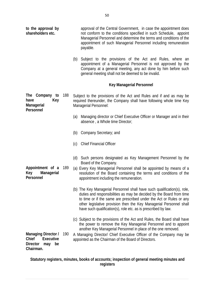| to the approval by<br>shareholders etc.                                                |     | approval of the Central Government, in case the appointment does<br>not conform to the conditions specified in such Schedule, appoint<br>Managerial Personnel and determine the terms and conditions of the<br>appointment of such Managerial Personnel including remuneration<br>payable.                                                                       |
|----------------------------------------------------------------------------------------|-----|------------------------------------------------------------------------------------------------------------------------------------------------------------------------------------------------------------------------------------------------------------------------------------------------------------------------------------------------------------------|
|                                                                                        |     | (b) Subject to the provisions of the Act and Rules, where an<br>appointment of a Managerial Personnel is not approved by the<br>Company at a general meeting, any act done by him before such<br>general meeting shall not be deemed to be invalid.                                                                                                              |
|                                                                                        |     | <b>Key Managerial Personnel</b>                                                                                                                                                                                                                                                                                                                                  |
| The Company to<br>have<br>Key<br>Managerial<br>Personnel                               | 188 | Subject to the provisions of the Act and Rules and if and as may be<br>required thereunder, the Company shall have following whole time Key<br>Managerial Personnel:                                                                                                                                                                                             |
|                                                                                        |     | Managing director or Chief Executive Officer or Manager and in their<br>(a)<br>absence, a Whole time Director;                                                                                                                                                                                                                                                   |
|                                                                                        |     | Company Secretary; and<br>(b)                                                                                                                                                                                                                                                                                                                                    |
|                                                                                        |     | <b>Chief Financial Officer</b><br>(c)                                                                                                                                                                                                                                                                                                                            |
|                                                                                        |     | (d) Such persons designated as Key Management Personnel by the<br>Board of the Company.                                                                                                                                                                                                                                                                          |
| Appointment of a<br>Key<br>Managerial<br>Personnel                                     | 189 | (a) Every Key Managerial Personnel shall be appointed by means of a<br>resolution of the Board containing the terms and conditions of the<br>appointment including the remuneration.                                                                                                                                                                             |
|                                                                                        |     | (b) The Key Managerial Personnel shall have such qualification(s), role,<br>duties and responsibilities as may be decided by the Board from time<br>to time or if the same are prescribed under the Act or Rules or any<br>other legislative provision then the Key Managerial Personnel shall<br>have such qualification(s), role etc. as is prescribed by law. |
|                                                                                        |     | (c) Subject to the provisions of the Act and Rules, the Board shall have<br>the power to remove the Key Managerial Personnel and to appoint<br>another Key Managerial Personnel in place of the one removed.                                                                                                                                                     |
| Managing Director /<br>Chief<br>Executive<br><b>Director</b><br>be<br>may<br>Chairman. | 190 | A Managing Director/ Chief Executive Officer of the Company may be<br>appointed as the Chairman of the Board of Directors.                                                                                                                                                                                                                                       |

### **Statutory registers, minutes, books of accounts; inspection of general meeting minutes and registers**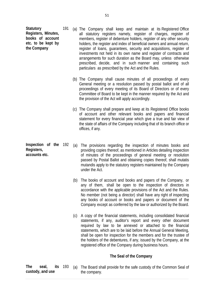**Statutory Registers, Minutes, books of account etc. to be kept by the Company** 

- 191 (a) The Company shall keep and maintain at its Registered Office all statutory registers namely, register of charges, register of members, register of debenture holders, register of any other security holders, the register and index of beneficial owners and annual return, register of loans, guarantees, security and acquisitions, register of investments not held in its own name and register of contracts and arrangements for such duration as the Board may, unless otherwise prescribed, decide, and in such manner and containing such particulars as prescribed by the Act and the Rules.
	- (b) The Company shall cause minutes of all proceedings of every General meeting or a resolution passed by postal ballot and of all proceedings of every meeting of its Board of Directors or of every Committee of Board to be kept in the manner required by the Act and the provision of the Act will apply accordingly.
	- (c) The Company shall prepare and keep at its Registered Office books of account and other relevant books and papers and financial statement for every financial year which give a true and fair view of the state of affairs of the Company including that of its branch office or offices, if any.
- **Inspection of the Registers, accounts etc.**  (a) The provisions regarding the inspection of minutes books and providing copies thereof, as mentioned in Articles detailing inspection of minutes of the proceedings of general meeting or resolution passed by Postal Ballot and obtaining copies thereof, shall mutatis mutandis apply to the statutory registers maintained by the Company under the Act.
	- (b) The books of account and books and papers of the Company, or any of them, shall be open to the inspection of directors in accordance with the applicable provisions of the Act and the Rules. No member (not being a director) shall have any right of inspecting any books of account or books and papers or document of the Company except as conferred by the law or authorized by the Board.
	- (c) A copy of the financial statements, including consolidated financial statements, if any, auditor's report and every other document required by law to be annexed or attached to the financial statements, which are to be laid before the Annual General Meeting, shall be open for inspection for the members and for the trustee of the holders of the debentures, if any, issued by the Company, at the registered office of the Company during business hours.

## **The Seal of the Company**

**The seal, its custody, and use**  (a) The Board shall provide for the safe custody of the Common Seal of the company.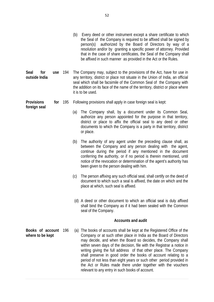|                                             |     |     | (b)                                                                                                                                                                                                                                                                                                                                                                                                                                                                                                                                                                                                                      | Every deed or other instrument except a share certificate to which<br>the Seal of the Company is required to be affixed shall be signed by<br>authorized by the Board of Directors by way of a<br>person(s)<br>resolution and/or by granting a specific power of attorney. Provided<br>that in the case of share certificates, the Seal of the Company shall<br>be affixed in such manner as provided in the Act or the Rules. |  |  |  |  |
|---------------------------------------------|-----|-----|--------------------------------------------------------------------------------------------------------------------------------------------------------------------------------------------------------------------------------------------------------------------------------------------------------------------------------------------------------------------------------------------------------------------------------------------------------------------------------------------------------------------------------------------------------------------------------------------------------------------------|--------------------------------------------------------------------------------------------------------------------------------------------------------------------------------------------------------------------------------------------------------------------------------------------------------------------------------------------------------------------------------------------------------------------------------|--|--|--|--|
| Seal<br>for<br>outside India                | use | 194 | The Company may, subject to the provisions of the Act, have for use in<br>any territory, district or place not situate in the Union of India, an official<br>seal which shall be facsimile of the Common Seal of the Company with<br>the addition on its face of the name of the territory, district or place where<br>it is to be used.                                                                                                                                                                                                                                                                                 |                                                                                                                                                                                                                                                                                                                                                                                                                                |  |  |  |  |
| <b>Provisions</b><br>for                    |     | 195 |                                                                                                                                                                                                                                                                                                                                                                                                                                                                                                                                                                                                                          | Following provisions shall apply in case foreign seal is kept:                                                                                                                                                                                                                                                                                                                                                                 |  |  |  |  |
| foreign seal                                |     |     | (a)                                                                                                                                                                                                                                                                                                                                                                                                                                                                                                                                                                                                                      | The Company shall, by a document under its Common Seal,<br>authorize any person appointed for the purpose in that territory,<br>district or place to affix the official seal to any deed or other<br>documents to which the Company is a party in that territory, district<br>or place.                                                                                                                                        |  |  |  |  |
|                                             |     |     | (b)                                                                                                                                                                                                                                                                                                                                                                                                                                                                                                                                                                                                                      | The authority of any agent under the preceding clause shall, as<br>between the Company and any person dealing with the agent,<br>continue during the period if any mentioned in the document<br>conferring the authority, or if no period is therein mentioned, until<br>notice of the revocation or determination of the agent's authority has<br>been given to the person dealing with him.                                  |  |  |  |  |
|                                             |     |     | (c)                                                                                                                                                                                                                                                                                                                                                                                                                                                                                                                                                                                                                      | The person affixing any such official seal, shall certify on the deed of<br>document to which such a seal is affixed, the date on which and the<br>place at which, such seal is affixed.                                                                                                                                                                                                                                       |  |  |  |  |
|                                             |     |     | (d) A deed or other document to which an official seal is duly affixed<br>shall bind the Company as if it had been sealed with the Common<br>seal of the Company.                                                                                                                                                                                                                                                                                                                                                                                                                                                        |                                                                                                                                                                                                                                                                                                                                                                                                                                |  |  |  |  |
|                                             |     |     |                                                                                                                                                                                                                                                                                                                                                                                                                                                                                                                                                                                                                          | <b>Accounts and audit</b>                                                                                                                                                                                                                                                                                                                                                                                                      |  |  |  |  |
| Books of account<br>196<br>where to be kept |     |     | (a) The books of accounts shall be kept at the Registered Office of the<br>Company or at such other place in India as the Board of Directors<br>may decide, and when the Board so decides, the Company shall<br>within seven days of the decision, file with the Registrar a notice in<br>writing giving the full address of that other place. The Company<br>shall preserve in good order the books of account relating to a<br>period of not less than eight years or such other period provided in<br>the Act or Rules made there under together with the vouchers<br>relevant to any entry in such books of account. |                                                                                                                                                                                                                                                                                                                                                                                                                                |  |  |  |  |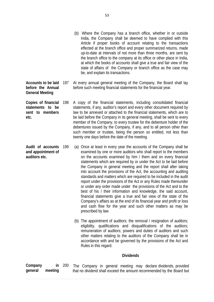- (b) Where the Company has a branch office, whether in or outside India, the Company shall be deemed to have complied with this Article if proper books of account relating to the transactions effected at the branch office and proper summarized returns, made up-to-date at intervals of not more than three months, are sent by the branch office to the company at its office or other place in India, at which the books of accounts shall give a true and fair view of the state of affairs of the Company or branch office as the case may be, and explain its transactions.
- **Accounts to be laid before the Annual**  At every annual general meeting of the Company, the Board shall lay before such meeting financial statements for the financial year.
- **Copies of financial statements to be sent to members etc.**  A copy of the financial statements, including consolidated financial statements, if any, auditor's report and every other document required by law to be annexed or attached to the financial statements, which are to be laid before the Company in its general meeting, shall be sent to every member of the Company, to every trustee for the debenture holder of the debentures issued by the Company, if any, and to all person other than such member or trustee, being the person so entitled, not less than twenty one days before the date of the meeting.

**General Meeting** 

- **Audit of accounts and appointment of auditors etc.**  (a) Once at least in every year the accounts of the Company shall be examined by one or more auditors who shall report to the members on the accounts examined by him / them and on every financial statements which are required by or under the Act to be laid before the Company in general meeting and the report shall after taking into account the provisions of the Act, the accounting and auditing standards and matters which are required to be included in the audit report under the provisions of the Act or any Rules made thereunder or under any order made under the provisions of the Act and to the best of his / their information and knowledge, the said account, financial statements give a true and fair view of the state of the Company's affairs as at the end of its financial year and profit or loss and cash flow for the year and such other matters as may be prescribed by law.
	- (b) The appointment of auditors; the removal / resignation of auditors; eligibility, qualifications and disqualifications of the auditors; remuneration of auditors; powers and duties of auditors and such other matters relating to the auditors of the Company shall be in accordance with and be governed by the provisions of the Act and Rules in this regard.

#### **Dividends**

| Company |         | in $200$ |  |  |  | The Company in general meeting may declare dividends, provided        |  |
|---------|---------|----------|--|--|--|-----------------------------------------------------------------------|--|
| general | meeting |          |  |  |  | that no dividend shall exceed the amount recommended by the Board but |  |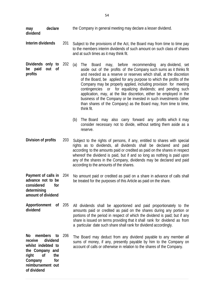| may<br>dividend                                                                                                                            | declare                      |     | the Company in general meeting may declare a lesser dividend.                                                                                                                                                                                                                                                                                                                                                                                                                                                                                                                                                                                                                                                                           |  |  |  |  |  |  |
|--------------------------------------------------------------------------------------------------------------------------------------------|------------------------------|-----|-----------------------------------------------------------------------------------------------------------------------------------------------------------------------------------------------------------------------------------------------------------------------------------------------------------------------------------------------------------------------------------------------------------------------------------------------------------------------------------------------------------------------------------------------------------------------------------------------------------------------------------------------------------------------------------------------------------------------------------------|--|--|--|--|--|--|
| Interim dividends                                                                                                                          |                              | 201 | Subject to the provisions of the Act, the Board may from time to time pay<br>to the members interim dividends of such amount on such class of shares<br>and at such times as it may think fit.                                                                                                                                                                                                                                                                                                                                                                                                                                                                                                                                          |  |  |  |  |  |  |
| Dividends only to<br>paid<br>be<br>profits                                                                                                 | out<br>0f                    | 202 | (a)<br>The<br>before<br>recommending any dividend, set<br><b>Board</b><br>may,<br>aside out of the profits of the Company such sums as it thinks fit<br>and needed as a reserve or reserves which shall, at the discretion<br>of the Board, be applied for any purpose to which the profits of the<br>Company may be properly applied, including provision for meeting<br>contingencies or for equalizing dividends; and pending such<br>application, may, at the like discretion, either be employed in the<br>business of the Company or be invested in such investments (other<br>than shares of the Company) as the Board may, from time to time,<br>think fit.<br>The Board may also carry forward any profits which it may<br>(b) |  |  |  |  |  |  |
|                                                                                                                                            |                              |     | consider necessary not to divide, without setting them aside as a<br>reserve.                                                                                                                                                                                                                                                                                                                                                                                                                                                                                                                                                                                                                                                           |  |  |  |  |  |  |
| Division of profits                                                                                                                        |                              | 203 | Subject to the rights of persons, if any, entitled to shares with special<br>rights as to dividends, all dividends shall be declared and paid<br>according to the amounts paid or credited as paid on the shares in respect<br>whereof the dividend is paid, but if and so long as nothing is paid upon<br>any of the shares in the Company, dividends may be declared and paid<br>according to the amounts of the shares.                                                                                                                                                                                                                                                                                                              |  |  |  |  |  |  |
| Payment of calls in<br>advance not to be<br>considered<br>determining<br>amount of dividend                                                | tor                          | 204 | No amount paid or credited as paid on a share in advance of calls shall<br>be treated for the purposes of this Article as paid on the share.                                                                                                                                                                                                                                                                                                                                                                                                                                                                                                                                                                                            |  |  |  |  |  |  |
| Apportionment of 205<br>dividend                                                                                                           |                              |     | All dividends shall be apportioned and paid proportionately to the<br>amounts paid or credited as paid on the shares during any portion or<br>portions of the period in respect of which the dividend is paid; but if any<br>share is issued on terms providing that it shall rank for dividend as from<br>a particular date such share shall rank for dividend accordingly.                                                                                                                                                                                                                                                                                                                                                            |  |  |  |  |  |  |
| No<br>members<br>receive<br>whilst indebted to<br>the Company and<br>right<br><sub>of</sub><br>Company<br>reimbursement out<br>of dividend | to<br>dividend<br>the<br>for | 206 | The Board may deduct from any dividend payable to any member all<br>sums of money, if any, presently payable by him to the Company on<br>account of calls or otherwise in relation to the shares of the Company.                                                                                                                                                                                                                                                                                                                                                                                                                                                                                                                        |  |  |  |  |  |  |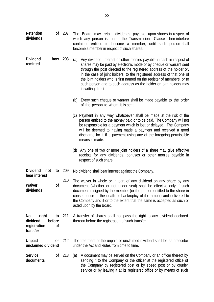| Retention<br>dividends                              |                    | of 207   | The Board may retain dividends payable upon shares in respect of<br>which any person is, under the Transmission Clause<br>hereinbefore<br>contained, entitled to become a member, until such person shall<br>become a member in respect of such shares.                                                                                                                                                                                                                    |  |  |  |  |
|-----------------------------------------------------|--------------------|----------|----------------------------------------------------------------------------------------------------------------------------------------------------------------------------------------------------------------------------------------------------------------------------------------------------------------------------------------------------------------------------------------------------------------------------------------------------------------------------|--|--|--|--|
| <b>Dividend</b><br>remitted                         | how                | 208      | Any dividend, interest or other monies payable in cash in respect of<br>(a)<br>shares may be paid by electronic mode or by cheque or warrant sent<br>through the post directed to the registered address of the holder or,<br>in the case of joint holders, to the registered address of that one of<br>the joint holders who is first named on the register of members, or to<br>such person and to such address as the holder or joint holders may<br>in writing direct. |  |  |  |  |
|                                                     |                    |          | (b) Every such cheque or warrant shall be made payable to the order<br>of the person to whom it is sent.                                                                                                                                                                                                                                                                                                                                                                   |  |  |  |  |
|                                                     |                    |          | (c) Payment in any way whatsoever shall be made at the risk of the<br>person entitled to the money paid or to be paid. The Company will not<br>be responsible for a payment which is lost or delayed. The Company<br>will be deemed to having made a payment and received a good<br>discharge for it if a payment using any of the foregoing permissible<br>means is made.                                                                                                 |  |  |  |  |
|                                                     |                    |          | (d) Any one of two or more joint holders of a share may give effective<br>receipts for any dividends, bonuses or other monies payable in<br>respect of such share.                                                                                                                                                                                                                                                                                                         |  |  |  |  |
| <b>Dividend</b><br>not<br>bear interest             | to                 | 209      | No dividend shall bear interest against the Company.                                                                                                                                                                                                                                                                                                                                                                                                                       |  |  |  |  |
| Waiver<br>dividends                                 | 0f                 | 210      | The waiver in whole or in part of any dividend on any share by any<br>document (whether or not under seal) shall be effective only if such<br>document is signed by the member (or the person entitled to the share in<br>consequence of the death or bankruptcy of the holder) and delivered to<br>the Company and if or to the extent that the same is accepted as such or<br>acted upon by the Board.                                                                   |  |  |  |  |
| No<br>right<br>dividend<br>registration<br>transfer | to<br>before<br>0f | 211      | A transfer of shares shall not pass the right to any dividend declared<br>thereon before the registration of such transfer.                                                                                                                                                                                                                                                                                                                                                |  |  |  |  |
| <b>Unpaid</b><br>unclaimed dividend                 | <b>or</b>          | 212      | The treatment of the unpaid or unclaimed dividend shall be as prescribe<br>under the Act and Rules from time to time.                                                                                                                                                                                                                                                                                                                                                      |  |  |  |  |
| <b>Service</b><br>documents                         |                    | $of$ 213 | A document may be served on the Company or an officer thereof by<br>(a)<br>sending it to the Company or the officer at the registered office of<br>the Company by registered post or by speed post or by courier<br>service or by leaving it at its registered office or by means of such                                                                                                                                                                                  |  |  |  |  |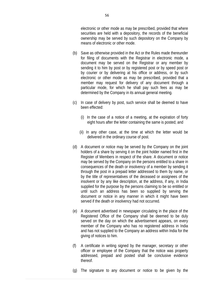electronic or other mode as may be prescribed, provided that where securities are held with a depository, the records of the beneficial ownership may be served by such depository on the Company by means of electronic or other mode.

- (b) Save as otherwise provided in the Act or the Rules made thereunder for filing of documents with the Registrar in electronic mode, a document may be served on the Registrar or any member by sending it to him by post or by registered post or by speed post or by courier or by delivering at his office or address, or by such electronic or other mode as may be prescribed, provided that a member may request for delivery of any document through a particular mode, for which he shall pay such fees as may be determined by the Company in its annual general meeting.
- (c) In case of delivery by post, such service shall be deemed to have been effected:
	- (i) In the case of a notice of a meeting, at the expiration of forty eight hours after the letter containing the same is posted; and
	- (ii) In any other case, at the time at which the letter would be delivered in the ordinary course of post.
- (d) A document or notice may be served by the Company on the joint holders of a share by serving it on the joint holder named first in the Register of Members in respect of the share. A document or notice may be served by the Company on the persons entitled to a share in consequences of the death or insolvency of a member by sending it through the post in a prepaid letter addressed to them by name, or by the title of representatives of the deceased or assignees of the insolvent or by any like description, at the address, if any, in India supplied for the purpose by the persons claiming to be so entitled or until such an address has been so supplied by serving the document or notice in any manner in which it might have been served if the death or insolvency had not occurred.
- (e) A document advertised in newspaper circulating in the place of the Registered Office of the Company shall be deemed to be duly served on the day on which the advertisement appears, on every member of the Company who has no registered address in India and has not supplied to the Company an address within India for the giving of notices to him.
- (f) A certificate in writing signed by the manager, secretary or other officer or employee of the Company that the notice was property addressed, prepaid and posted shall be conclusive evidence thereof.
- (g) The signature to any document or notice to be given by the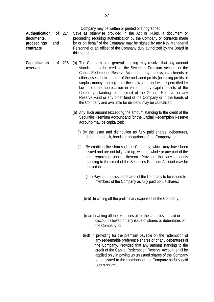| Authentication<br>documents,<br>proceedings<br>contracts | and | of $214$ | Company may be written or printed or lithographed.<br>Save as otherwise provided in the Act or Rules, a document or<br>proceeding requiring authentication by the Company or contracts made<br>by or on behalf of the Company may be signed by any Key Managerial<br>Personnel or an officer of the Company duly authorized by the Board in<br>this behalf.                                                                                                                                                                                                                                                                       |
|----------------------------------------------------------|-----|----------|-----------------------------------------------------------------------------------------------------------------------------------------------------------------------------------------------------------------------------------------------------------------------------------------------------------------------------------------------------------------------------------------------------------------------------------------------------------------------------------------------------------------------------------------------------------------------------------------------------------------------------------|
| Capitalization<br>reserves                               |     | of $215$ | (a) The Company at a general meeting may resolve that any amount<br>standing to the credit of the Securities Premium Account or the<br>Capital Redemption Reserve Account or any moneys, investments or<br>other assets forming part of the undivided profits (including profits or<br>surplus moneys arising from the realization and where permitted by<br>law, from the appreciation in value of any capital assets of the<br>Company) standing to the credit of the General Reserve, or any<br>Reserve Fund or any other fund of the Company or in the hands of<br>the Company and available for dividend may be capitalized. |
|                                                          |     |          | (b) Any such amount (excepting the amount standing to the credit of the<br>Securities Premium Account and /or the Capital Redemption Reserve<br>account) may be capitalized:                                                                                                                                                                                                                                                                                                                                                                                                                                                      |
|                                                          |     |          | (i) By the issue and distribution as fully paid shares, debentures,<br>debenture-stock, bonds or obligations of the Company, or                                                                                                                                                                                                                                                                                                                                                                                                                                                                                                   |
|                                                          |     |          | (ii)<br>By crediting the shares of the Company, which may have been<br>issued and are not fully paid up, with the whole or any part of the<br>sum remaining unpaid thereon. Provided that any amounts<br>standing to the credit of the Securities Premium Account may be<br>applied in:                                                                                                                                                                                                                                                                                                                                           |
|                                                          |     |          | (ii-a) Paying up unissued shares of the Company to be issued to<br>members of the Company as fully paid bonus shares;                                                                                                                                                                                                                                                                                                                                                                                                                                                                                                             |
|                                                          |     |          | (ii-b) In writing off the preliminary expenses of the Company;                                                                                                                                                                                                                                                                                                                                                                                                                                                                                                                                                                    |
|                                                          |     |          | (ii-c) In writing off the expenses of, or the commission paid or<br>discount allowed on any issue of shares or debentures of<br>the Company; or                                                                                                                                                                                                                                                                                                                                                                                                                                                                                   |
|                                                          |     |          | (ii-d) In providing for the premium payable on the redemption of<br>any redeemable preference shares or of any debentures of<br>the Company. Provided that any amount standing to the<br>credit of the Capital Redemption Reserve Account shall be<br>applied only in paying up unissued shares of the Company<br>to be issued to the members of the Company as fully paid<br>bonus shares.                                                                                                                                                                                                                                       |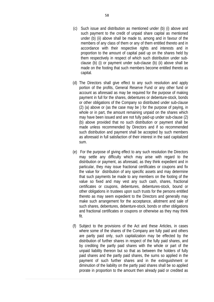- (c) Such issue and distribution as mentioned under (b) (i) above and such payment to the credit of unpaid share capital as mentioned under (b) (ii) above shall be made to, among and in favour of the members of any class of them or any of them entitled thereto and in accordance with their respective rights and interests and in proportion to the amount of capital paid up on the shares held by them respectively in respect of which such distribution under subclause (b) (i) or payment under sub-clause (b) (ii) above shall be made on the footing that such members become entitled thereto as capital.
- (d) The Directors shall give effect to any such resolution and apply portion of the profits, General Reserve Fund or any other fund or account as aforesaid as may be required for the purpose of making payment in full for the shares, debentures or debenture-stock, bonds or other obligations of the Company so distributed under sub-clause (2) (a) above or (as the case may be ) for the purpose of paying, in whole or in part, the amount remaining unpaid on the shares which may have been issued and are not fully paid-up under sub-clause (2) (b) above provided that no such distribution or payment shall be made unless recommended by Directors and if so recommended such distribution and payment shall be accepted by such members as aforesaid in full satisfaction of their interest in the said capitalized sum.
- (e) For the purpose of giving effect to any such resolution the Directors may settle any difficulty which may arise with regard to the distribution or payment, as aforesaid, as they think expedient and in particular, they may issue fractional certificates or coupons and fix the value for distribution of any specific assets and may determine that such payments be made to any members on the footing of the value so fixed and may vest any such cash, shares, fractional certificates or coupons, debentures, debentures-stock, bound or other obligations in trustees upon such trusts for the persons entitled thereto as may seem expedient to the Directors and generally may make such arrangement for the acceptance, allotment and sale of such shares, debentures, debenture-stock, bonds or other obligations and fractional certificates or coupons or otherwise as they may think fit.
- (f) Subject to the provisions of the Act and these Articles, in cases where some of the shares of the Company are fully paid and others are partly paid only, such capitalization may be effected by the distribution of further shares in respect of the fully paid shares, and by crediting the partly paid shares with the whole or part of the unpaid liability thereon but so that as between the holders of fully paid shares and the partly paid shares, the sums so applied in the payment of such further shares and in the extinguishment or diminution of the liability on the partly paid shares shall be so applied prorate in proportion to the amount then already paid or credited as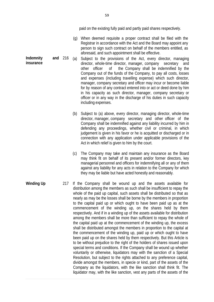paid on the existing fully paid and partly paid shares respectively.

- (g) When deemed requisite a proper contract shall be filed with the Registrar in accordance with the Act and the Board may appoint any person to sign such contract on behalf of the members entitled, as aforesaid, and such appointment shall be effective.
- **Indemnity and**  (a) Subject to the provisions of the Act, every director, managing director, whole-time director, manager, company secretary and other officer of the Company shall be indemnified by the Company out of the funds of the Company, to pay all costs, losses and expenses (including travelling expense) which such director, manager, company secretary and officer may incur or become liable for by reason of any contract entered into or act or deed done by him in his capacity as such director, manager, company secretary or officer or in any way in the discharge of his duties in such capacity including expenses.
	- (b) Subject to (a) above, every director, managing director, whole-time director, manager, company secretary and other officer of the Company shall be indemnified against any liability incurred by him in defending any proceedings, whether civil or criminal, in which judgement is given in his favor or he is acquitted or discharged or in connection with any application under applicable provisions of the Act in which relief is given to him by the court.
	- (c) The Company may take and maintain any insurance as the Board may think fit on behalf of its present and/or former directors, key managerial personnel and officers for indemnifying all or any of them against any liability for any acts in relation to the Company for which they may be liable but have acted honestly and reasonably.
- **Winding Up** 217 If the Company shall be wound up and the assets available for distribution among the members as such shall be insufficient to repay the whole of the paid up capital, such assets shall be distributed so that as nearly as may be the losses shall be borne by the members in proportion to the capital paid up or which ought to have been paid up as at the commencement of the winding up, on the shares held by them respectively. And if in a winding up of the assets available for distribution among the members shall be more than sufficient to repay the whole of the capital paid up at the commencement of the winding up, the excess shall be distributed amongst the members in proportion to the capital at the commencement of the winding up, paid up or which ought to have been paid up on the shares held by them respectively. But this Article is to be without prejudice to the right of the holders of shares issued upon special terms and conditions. If the Company shall be wound up whether voluntarily or otherwise, liquidators may with the sanction of a Special Resolution, but subject to the rights attached to any preference capital, divide amongst the members, in specie or kind, part of the assets of the Company as the liquidators, with the like sanction shall think fit. The liquidator may, with the like sanction, vest any parts of the assets of the

**insurance**